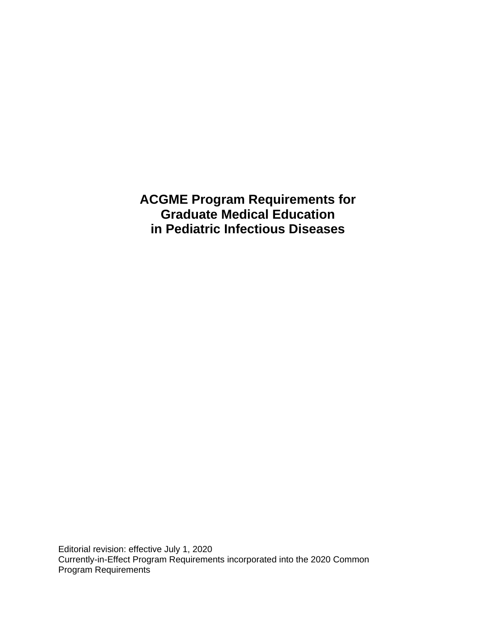**ACGME Program Requirements for Graduate Medical Education in Pediatric Infectious Diseases**

Editorial revision: effective July 1, 2020 Currently-in-Effect Program Requirements incorporated into the 2020 Common Program Requirements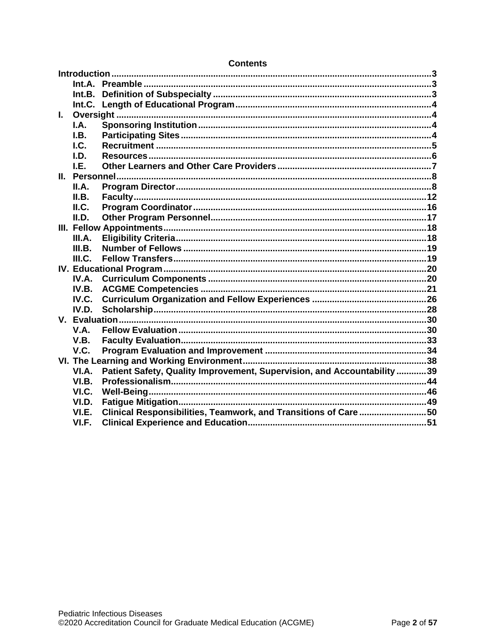| $\mathbf{L}$ |        |                                                                         |  |  |
|--------------|--------|-------------------------------------------------------------------------|--|--|
|              | I.A.   |                                                                         |  |  |
|              | I.B.   |                                                                         |  |  |
|              | I.C.   |                                                                         |  |  |
|              | I.D.   |                                                                         |  |  |
|              | I.E.   |                                                                         |  |  |
|              |        |                                                                         |  |  |
|              | II.A.  |                                                                         |  |  |
|              | II.B.  |                                                                         |  |  |
|              | ILC.   |                                                                         |  |  |
|              | II.D.  |                                                                         |  |  |
|              |        |                                                                         |  |  |
|              | III.A. |                                                                         |  |  |
|              | III.B. |                                                                         |  |  |
|              | III.C. |                                                                         |  |  |
|              |        |                                                                         |  |  |
|              | IV.A.  |                                                                         |  |  |
|              | IV.B.  |                                                                         |  |  |
|              | IV.C.  |                                                                         |  |  |
|              | IV.D.  |                                                                         |  |  |
|              |        |                                                                         |  |  |
|              | V.A.   |                                                                         |  |  |
|              | V.B.   |                                                                         |  |  |
|              | V.C.   |                                                                         |  |  |
|              |        |                                                                         |  |  |
|              | VI.A.  | Patient Safety, Quality Improvement, Supervision, and Accountability 39 |  |  |
|              | VI.B.  |                                                                         |  |  |
|              | VI.C.  |                                                                         |  |  |
|              | VI.D.  |                                                                         |  |  |
|              | VI.E.  | Clinical Responsibilities, Teamwork, and Transitions of Care50          |  |  |
|              | VI.F.  |                                                                         |  |  |
|              |        |                                                                         |  |  |

### **Contents**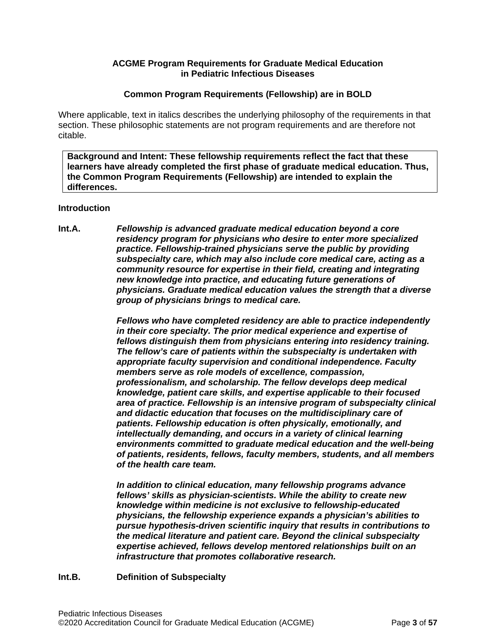### **ACGME Program Requirements for Graduate Medical Education in Pediatric Infectious Diseases**

### **Common Program Requirements (Fellowship) are in BOLD**

Where applicable, text in italics describes the underlying philosophy of the requirements in that section. These philosophic statements are not program requirements and are therefore not citable.

**Background and Intent: These fellowship requirements reflect the fact that these learners have already completed the first phase of graduate medical education. Thus, the Common Program Requirements (Fellowship) are intended to explain the differences.**

#### <span id="page-2-0"></span>**Introduction**

<span id="page-2-1"></span>**Int.A.** *Fellowship is advanced graduate medical education beyond a core residency program for physicians who desire to enter more specialized practice. Fellowship-trained physicians serve the public by providing subspecialty care, which may also include core medical care, acting as a community resource for expertise in their field, creating and integrating new knowledge into practice, and educating future generations of physicians. Graduate medical education values the strength that a diverse group of physicians brings to medical care.*

> *Fellows who have completed residency are able to practice independently in their core specialty. The prior medical experience and expertise of fellows distinguish them from physicians entering into residency training. The fellow's care of patients within the subspecialty is undertaken with appropriate faculty supervision and conditional independence. Faculty members serve as role models of excellence, compassion, professionalism, and scholarship. The fellow develops deep medical knowledge, patient care skills, and expertise applicable to their focused area of practice. Fellowship is an intensive program of subspecialty clinical and didactic education that focuses on the multidisciplinary care of patients. Fellowship education is often physically, emotionally, and intellectually demanding, and occurs in a variety of clinical learning environments committed to graduate medical education and the well-being of patients, residents, fellows, faculty members, students, and all members of the health care team.*

*In addition to clinical education, many fellowship programs advance fellows' skills as physician-scientists. While the ability to create new knowledge within medicine is not exclusive to fellowship-educated physicians, the fellowship experience expands a physician's abilities to pursue hypothesis-driven scientific inquiry that results in contributions to the medical literature and patient care. Beyond the clinical subspecialty expertise achieved, fellows develop mentored relationships built on an infrastructure that promotes collaborative research.*

#### <span id="page-2-2"></span>**Int.B. Definition of Subspecialty**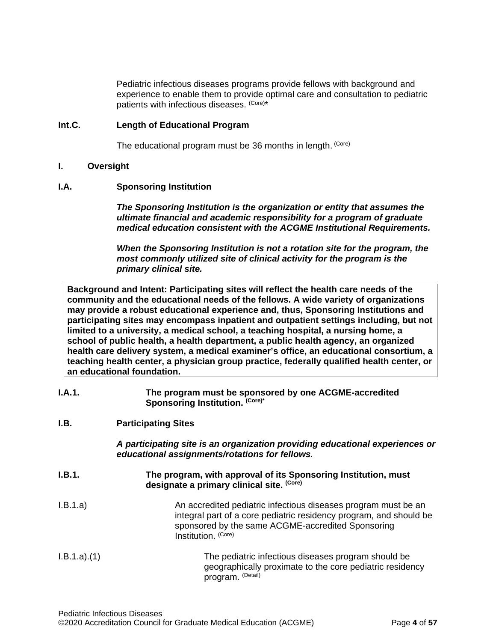Pediatric infectious diseases programs provide fellows with background and experience to enable them to provide optimal care and consultation to pediatric patients with infectious diseases. (Core)\*

### <span id="page-3-0"></span>**Int.C. Length of Educational Program**

The educational program must be 36 months in length. (Core)

## <span id="page-3-1"></span>**I. Oversight**

### <span id="page-3-2"></span>**I.A. Sponsoring Institution**

*The Sponsoring Institution is the organization or entity that assumes the ultimate financial and academic responsibility for a program of graduate medical education consistent with the ACGME Institutional Requirements.*

*When the Sponsoring Institution is not a rotation site for the program, the most commonly utilized site of clinical activity for the program is the primary clinical site.*

**Background and Intent: Participating sites will reflect the health care needs of the community and the educational needs of the fellows. A wide variety of organizations may provide a robust educational experience and, thus, Sponsoring Institutions and participating sites may encompass inpatient and outpatient settings including, but not limited to a university, a medical school, a teaching hospital, a nursing home, a school of public health, a health department, a public health agency, an organized health care delivery system, a medical examiner's office, an educational consortium, a teaching health center, a physician group practice, federally qualified health center, or an educational foundation.**

### **I.A.1. The program must be sponsored by one ACGME-accredited**  Sponsoring Institution. (Core)\*

## <span id="page-3-3"></span>**I.B. Participating Sites**

*A participating site is an organization providing educational experiences or educational assignments/rotations for fellows.*

| I.B.1. | The program, with approval of its Sponsoring Institution, must |
|--------|----------------------------------------------------------------|
|        | designate a primary clinical site. <sup>(Core)</sup>           |
|        |                                                                |

- I.B.1.a) An accredited pediatric infectious diseases program must be an integral part of a core pediatric residency program, and should be sponsored by the same ACGME-accredited Sponsoring Institution. (Core)
- I.B.1.a).(1) The pediatric infectious diseases program should be geographically proximate to the core pediatric residency program. (Detail)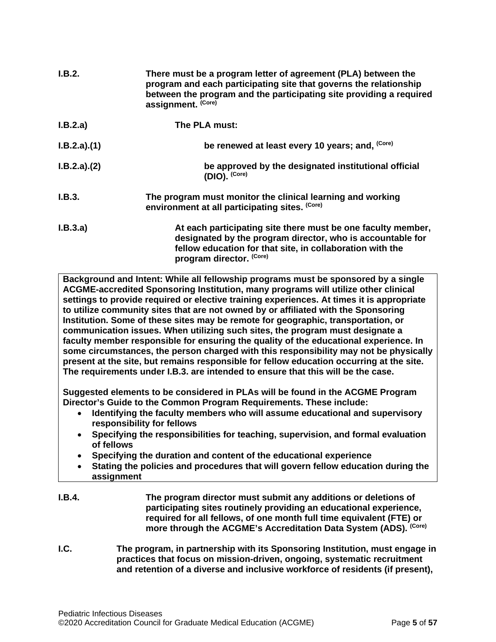| I.B.2.      | There must be a program letter of agreement (PLA) between the<br>program and each participating site that governs the relationship<br>between the program and the participating site providing a required<br>assignment. (Core) |
|-------------|---------------------------------------------------------------------------------------------------------------------------------------------------------------------------------------------------------------------------------|
| I.B.2.a)    | The PLA must:                                                                                                                                                                                                                   |
| I.B.2.a)(1) | be renewed at least every 10 years; and, (Core)                                                                                                                                                                                 |
| I.B.2.a)(2) | be approved by the designated institutional official<br>(DIO). (Core)                                                                                                                                                           |
| I.B.3.      | The program must monitor the clinical learning and working<br>environment at all participating sites. (Core)                                                                                                                    |
| I.B.3.a)    | At each participating site there must be one faculty member,<br>designated by the program director, who is accountable for<br>fellow education for that site, in collaboration with the<br>program director. (Core)             |

**Background and Intent: While all fellowship programs must be sponsored by a single ACGME-accredited Sponsoring Institution, many programs will utilize other clinical settings to provide required or elective training experiences. At times it is appropriate to utilize community sites that are not owned by or affiliated with the Sponsoring Institution. Some of these sites may be remote for geographic, transportation, or communication issues. When utilizing such sites, the program must designate a faculty member responsible for ensuring the quality of the educational experience. In some circumstances, the person charged with this responsibility may not be physically present at the site, but remains responsible for fellow education occurring at the site. The requirements under I.B.3. are intended to ensure that this will be the case.**

**Suggested elements to be considered in PLAs will be found in the ACGME Program Director's Guide to the Common Program Requirements. These include:**

- **Identifying the faculty members who will assume educational and supervisory responsibility for fellows**
- **Specifying the responsibilities for teaching, supervision, and formal evaluation of fellows**
- **Specifying the duration and content of the educational experience**
- **Stating the policies and procedures that will govern fellow education during the assignment**
- **I.B.4. The program director must submit any additions or deletions of participating sites routinely providing an educational experience, required for all fellows, of one month full time equivalent (FTE) or more through the ACGME's Accreditation Data System (ADS). (Core)**
- <span id="page-4-0"></span>**I.C. The program, in partnership with its Sponsoring Institution, must engage in practices that focus on mission-driven, ongoing, systematic recruitment and retention of a diverse and inclusive workforce of residents (if present),**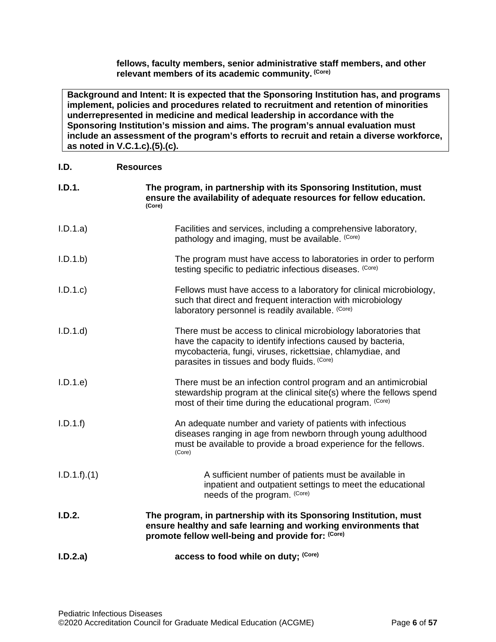**fellows, faculty members, senior administrative staff members, and other relevant members of its academic community. (Core)**

**Background and Intent: It is expected that the Sponsoring Institution has, and programs implement, policies and procedures related to recruitment and retention of minorities underrepresented in medicine and medical leadership in accordance with the Sponsoring Institution's mission and aims. The program's annual evaluation must include an assessment of the program's efforts to recruit and retain a diverse workforce, as noted in V.C.1.c).(5).(c).**

<span id="page-5-0"></span>

| I.D.         | <b>Resources</b>                                                                                                                                                                                                                              |
|--------------|-----------------------------------------------------------------------------------------------------------------------------------------------------------------------------------------------------------------------------------------------|
| I.D.1.       | The program, in partnership with its Sponsoring Institution, must<br>ensure the availability of adequate resources for fellow education.<br>(Core)                                                                                            |
| I.D.1.a)     | Facilities and services, including a comprehensive laboratory,<br>pathology and imaging, must be available. (Core)                                                                                                                            |
| I.D.1.b      | The program must have access to laboratories in order to perform<br>testing specific to pediatric infectious diseases. (Core)                                                                                                                 |
| I.D.1.c      | Fellows must have access to a laboratory for clinical microbiology,<br>such that direct and frequent interaction with microbiology<br>laboratory personnel is readily available. (Core)                                                       |
| I.D.1.d      | There must be access to clinical microbiology laboratories that<br>have the capacity to identify infections caused by bacteria,<br>mycobacteria, fungi, viruses, rickettsiae, chlamydiae, and<br>parasites in tissues and body fluids. (Core) |
| I.D.1.e      | There must be an infection control program and an antimicrobial<br>stewardship program at the clinical site(s) where the fellows spend<br>most of their time during the educational program. (Core)                                           |
| I.D.1.f      | An adequate number and variety of patients with infectious<br>diseases ranging in age from newborn through young adulthood<br>must be available to provide a broad experience for the fellows.<br>(Core)                                      |
| I.D.1.f).(1) | A sufficient number of patients must be available in<br>inpatient and outpatient settings to meet the educational<br>needs of the program. (Core)                                                                                             |
| I.D.2.       | The program, in partnership with its Sponsoring Institution, must<br>ensure healthy and safe learning and working environments that<br>promote fellow well-being and provide for: (Core)                                                      |
| I.D.2.a)     | access to food while on duty; (Core)                                                                                                                                                                                                          |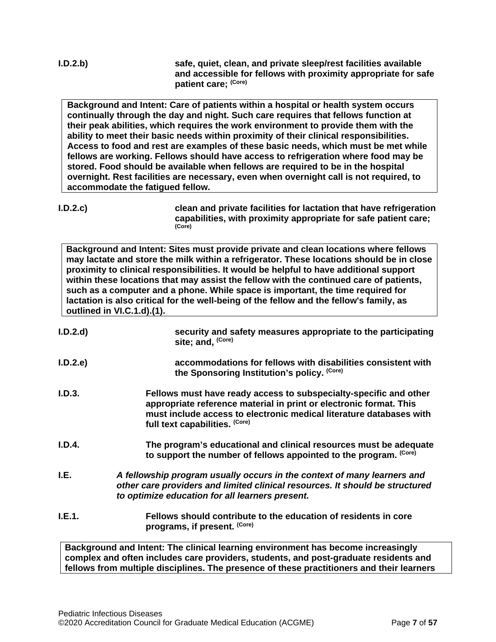**I.D.2.b) safe, quiet, clean, and private sleep/rest facilities available and accessible for fellows with proximity appropriate for safe patient care; (Core)**

**Background and Intent: Care of patients within a hospital or health system occurs continually through the day and night. Such care requires that fellows function at their peak abilities, which requires the work environment to provide them with the ability to meet their basic needs within proximity of their clinical responsibilities. Access to food and rest are examples of these basic needs, which must be met while fellows are working. Fellows should have access to refrigeration where food may be stored. Food should be available when fellows are required to be in the hospital overnight. Rest facilities are necessary, even when overnight call is not required, to accommodate the fatigued fellow.**

**I.D.2.c) clean and private facilities for lactation that have refrigeration capabilities, with proximity appropriate for safe patient care; (Core)**

**Background and Intent: Sites must provide private and clean locations where fellows may lactate and store the milk within a refrigerator. These locations should be in close proximity to clinical responsibilities. It would be helpful to have additional support within these locations that may assist the fellow with the continued care of patients, such as a computer and a phone. While space is important, the time required for lactation is also critical for the well-being of the fellow and the fellow's family, as outlined in VI.C.1.d).(1).**

| I.D.2.d | security and safety measures appropriate to the participating<br>site; and, (Core)                                                                                                                                                               |
|---------|--------------------------------------------------------------------------------------------------------------------------------------------------------------------------------------------------------------------------------------------------|
| I.D.2.e | accommodations for fellows with disabilities consistent with<br>the Sponsoring Institution's policy. (Core)                                                                                                                                      |
| I.D.3.  | Fellows must have ready access to subspecialty-specific and other<br>appropriate reference material in print or electronic format. This<br>must include access to electronic medical literature databases with<br>full text capabilities. (Core) |
| I.D.4.  | The program's educational and clinical resources must be adequate<br>to support the number of fellows appointed to the program. (Core)                                                                                                           |
| I.E.    | A fellowship program usually occurs in the context of many learners and<br>other care providers and limited clinical resources. It should be structured<br>to optimize education for all learners present.                                       |
| I.E.1.  | Fellows should contribute to the education of residents in core<br>programs, if present. (Core)                                                                                                                                                  |
|         | Background and Intent: The clinical learning environment has become increasingly                                                                                                                                                                 |

<span id="page-6-0"></span>**complex and often includes care providers, students, and post-graduate residents and fellows from multiple disciplines. The presence of these practitioners and their learners**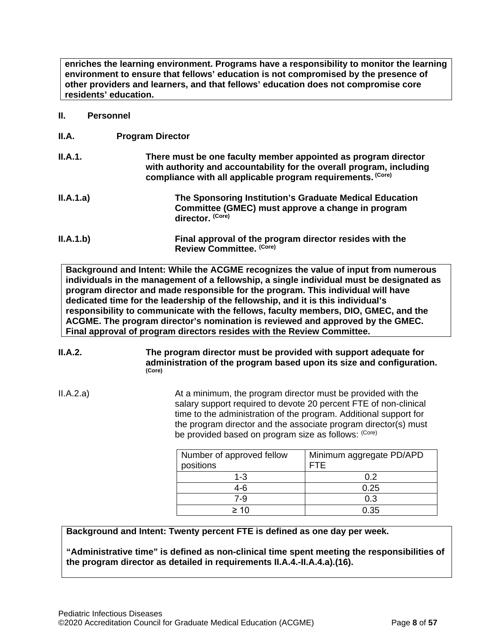**enriches the learning environment. Programs have a responsibility to monitor the learning environment to ensure that fellows' education is not compromised by the presence of other providers and learners, and that fellows' education does not compromise core residents' education.**

#### <span id="page-7-0"></span>**II. Personnel**

<span id="page-7-1"></span>**II.A. Program Director**

| II.A.1.   | There must be one faculty member appointed as program director<br>with authority and accountability for the overall program, including<br>compliance with all applicable program requirements. (Core) |
|-----------|-------------------------------------------------------------------------------------------------------------------------------------------------------------------------------------------------------|
| II.A.1.a) | The Sponsoring Institution's Graduate Medical Education<br>Committee (GMEC) must approve a change in program<br>director. (Core)                                                                      |

**II.A.1.b) Final approval of the program director resides with the Review Committee. (Core)**

**Background and Intent: While the ACGME recognizes the value of input from numerous individuals in the management of a fellowship, a single individual must be designated as program director and made responsible for the program. This individual will have dedicated time for the leadership of the fellowship, and it is this individual's responsibility to communicate with the fellows, faculty members, DIO, GMEC, and the ACGME. The program director's nomination is reviewed and approved by the GMEC. Final approval of program directors resides with the Review Committee.**

**II.A.2. The program director must be provided with support adequate for administration of the program based upon its size and configuration. (Core)**

II.A.2.a) At a minimum, the program director must be provided with the salary support required to devote 20 percent FTE of non-clinical time to the administration of the program. Additional support for the program director and the associate program director(s) must be provided based on program size as follows: (Core)

| Number of approved fellow<br>positions | Minimum aggregate PD/APD<br>FTF |
|----------------------------------------|---------------------------------|
| $1 - 3$                                | 0.2                             |
| 4-6                                    | 0.25                            |
| 7-9                                    | 0.3                             |
| > 1∩                                   | 0.35                            |

## **Background and Intent: Twenty percent FTE is defined as one day per week.**

**"Administrative time" is defined as non-clinical time spent meeting the responsibilities of the program director as detailed in requirements II.A.4.-II.A.4.a).(16).**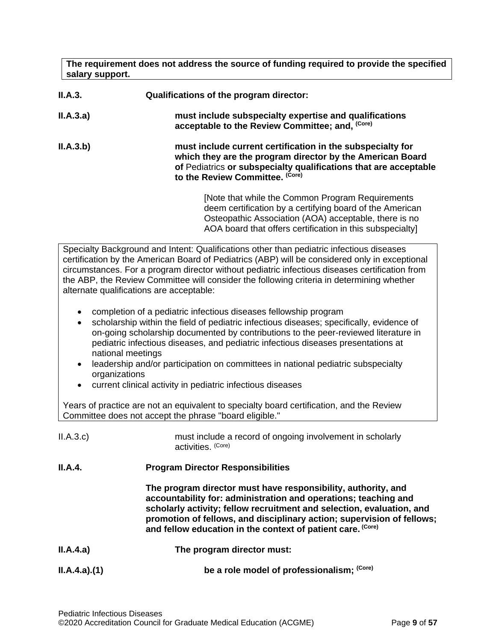**The requirement does not address the source of funding required to provide the specified salary support.**

| II.A.3.   | Qualifications of the program director:                                                                                                                                                                                            |  |
|-----------|------------------------------------------------------------------------------------------------------------------------------------------------------------------------------------------------------------------------------------|--|
| II.A.3.a) | must include subspecialty expertise and qualifications<br>acceptable to the Review Committee; and. (Core)                                                                                                                          |  |
| II.A.3.b) | must include current certification in the subspecialty for<br>which they are the program director by the American Board<br>of Pediatrics or subspecialty qualifications that are acceptable<br>to the Review Committee. (Core)     |  |
|           | [Note that while the Common Program Requirements<br>deem certification by a certifying board of the American<br>Osteopathic Association (AOA) acceptable, there is no<br>AOA board that offers certification in this subspecialty] |  |

Specialty Background and Intent: Qualifications other than pediatric infectious diseases certification by the American Board of Pediatrics (ABP) will be considered only in exceptional circumstances. For a program director without pediatric infectious diseases certification from the ABP, the Review Committee will consider the following criteria in determining whether alternate qualifications are acceptable:

- completion of a pediatric infectious diseases fellowship program
- scholarship within the field of pediatric infectious diseases; specifically, evidence of on-going scholarship documented by contributions to the peer-reviewed literature in pediatric infectious diseases, and pediatric infectious diseases presentations at national meetings
- leadership and/or participation on committees in national pediatric subspecialty organizations
- current clinical activity in pediatric infectious diseases

Years of practice are not an equivalent to specialty board certification, and the Review Committee does not accept the phrase "board eligible."

| II.A.3.c    | must include a record of ongoing involvement in scholarly<br>activities. (Core)                                                                                                                                                                                                                                                                    |
|-------------|----------------------------------------------------------------------------------------------------------------------------------------------------------------------------------------------------------------------------------------------------------------------------------------------------------------------------------------------------|
| II.A.4.     | <b>Program Director Responsibilities</b>                                                                                                                                                                                                                                                                                                           |
|             | The program director must have responsibility, authority, and<br>accountability for: administration and operations; teaching and<br>scholarly activity; fellow recruitment and selection, evaluation, and<br>promotion of fellows, and disciplinary action; supervision of fellows;<br>and fellow education in the context of patient care. (Core) |
| II.A.4.a)   | The program director must:                                                                                                                                                                                                                                                                                                                         |
| ILA.4.a)(1) | be a role model of professionalism; (Core)                                                                                                                                                                                                                                                                                                         |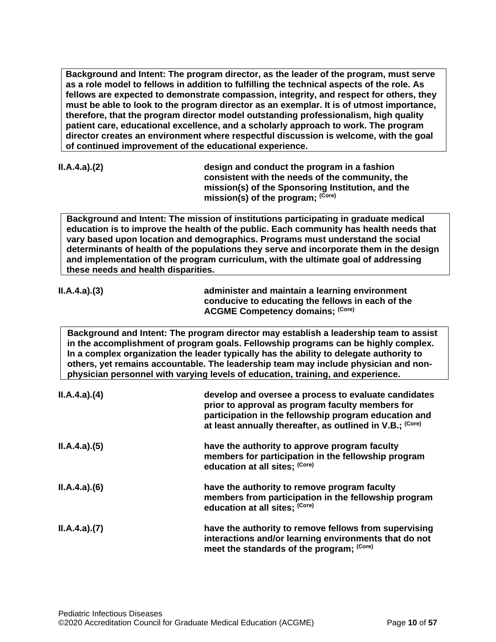**Background and Intent: The program director, as the leader of the program, must serve as a role model to fellows in addition to fulfilling the technical aspects of the role. As fellows are expected to demonstrate compassion, integrity, and respect for others, they must be able to look to the program director as an exemplar. It is of utmost importance, therefore, that the program director model outstanding professionalism, high quality patient care, educational excellence, and a scholarly approach to work. The program director creates an environment where respectful discussion is welcome, with the goal of continued improvement of the educational experience.**

**II.A.4.a).(2) design and conduct the program in a fashion consistent with the needs of the community, the mission(s) of the Sponsoring Institution, and the mission(s) of the program; (Core)**

**Background and Intent: The mission of institutions participating in graduate medical education is to improve the health of the public. Each community has health needs that vary based upon location and demographics. Programs must understand the social determinants of health of the populations they serve and incorporate them in the design and implementation of the program curriculum, with the ultimate goal of addressing these needs and health disparities.**

| I.A.4.a)(3) |  |
|-------------|--|

**II.A.4.a).(3) administer and maintain a learning environment conducive to educating the fellows in each of the ACGME Competency domains; (Core)**

**Background and Intent: The program director may establish a leadership team to assist in the accomplishment of program goals. Fellowship programs can be highly complex. In a complex organization the leader typically has the ability to delegate authority to others, yet remains accountable. The leadership team may include physician and nonphysician personnel with varying levels of education, training, and experience.**

| ILA.4.a)(4) | develop and oversee a process to evaluate candidates<br>prior to approval as program faculty members for<br>participation in the fellowship program education and<br>at least annually thereafter, as outlined in V.B.; (Core) |
|-------------|--------------------------------------------------------------------------------------------------------------------------------------------------------------------------------------------------------------------------------|
| ILA.4.a)(5) | have the authority to approve program faculty<br>members for participation in the fellowship program<br>education at all sites; (Core)                                                                                         |
| ILA.4.a)(6) | have the authority to remove program faculty<br>members from participation in the fellowship program<br>education at all sites; (Core)                                                                                         |
| ILA.4.a)(7) | have the authority to remove fellows from supervising<br>interactions and/or learning environments that do not<br>meet the standards of the program; (Core)                                                                    |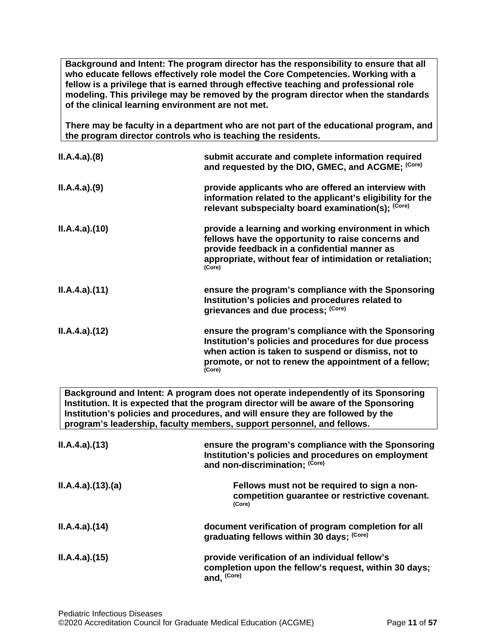**Background and Intent: The program director has the responsibility to ensure that all who educate fellows effectively role model the Core Competencies. Working with a fellow is a privilege that is earned through effective teaching and professional role modeling. This privilege may be removed by the program director when the standards of the clinical learning environment are not met.**

**There may be faculty in a department who are not part of the educational program, and the program director controls who is teaching the residents.**

| ILA.4.a)(8)                                                                                                                                                                                                                                                                                                                             | submit accurate and complete information required<br>and requested by the DIO, GMEC, and ACGME; (Core)                                                                                                                                |  |
|-----------------------------------------------------------------------------------------------------------------------------------------------------------------------------------------------------------------------------------------------------------------------------------------------------------------------------------------|---------------------------------------------------------------------------------------------------------------------------------------------------------------------------------------------------------------------------------------|--|
| ILA.4.a)(9)                                                                                                                                                                                                                                                                                                                             | provide applicants who are offered an interview with<br>information related to the applicant's eligibility for the<br>relevant subspecialty board examination(s); (Core)                                                              |  |
| ILA.4.a)(10)                                                                                                                                                                                                                                                                                                                            | provide a learning and working environment in which<br>fellows have the opportunity to raise concerns and<br>provide feedback in a confidential manner as<br>appropriate, without fear of intimidation or retaliation;<br>(Core)      |  |
| ILA.4.a)(11)                                                                                                                                                                                                                                                                                                                            | ensure the program's compliance with the Sponsoring<br>Institution's policies and procedures related to<br>grievances and due process; (Core)                                                                                         |  |
| ILA.4.a)(12)                                                                                                                                                                                                                                                                                                                            | ensure the program's compliance with the Sponsoring<br>Institution's policies and procedures for due process<br>when action is taken to suspend or dismiss, not to<br>promote, or not to renew the appointment of a fellow;<br>(Core) |  |
| Background and Intent: A program does not operate independently of its Sponsoring<br>Institution. It is expected that the program director will be aware of the Sponsoring<br>Institution's policies and procedures, and will ensure they are followed by the<br>program's leadership, faculty members, support personnel, and fellows. |                                                                                                                                                                                                                                       |  |
| ILA.4.a)(13)                                                                                                                                                                                                                                                                                                                            | ensure the program's compliance with the Sponsoring<br>Institution's policies and procedures on employment<br>and non-discrimination; (Core)                                                                                          |  |

| ILA.4.a)(13)(a) | Fellows must not be required to sign a non-<br>competition guarantee or restrictive covenant.<br>(Core)                           |
|-----------------|-----------------------------------------------------------------------------------------------------------------------------------|
| ILA.4.a)(14)    | document verification of program completion for all<br>graduating fellows within 30 days; (Core)                                  |
| ILA.4.a)(15)    | provide verification of an individual fellow's<br>completion upon the fellow's request, within 30 days;<br>and, <sup>(Core)</sup> |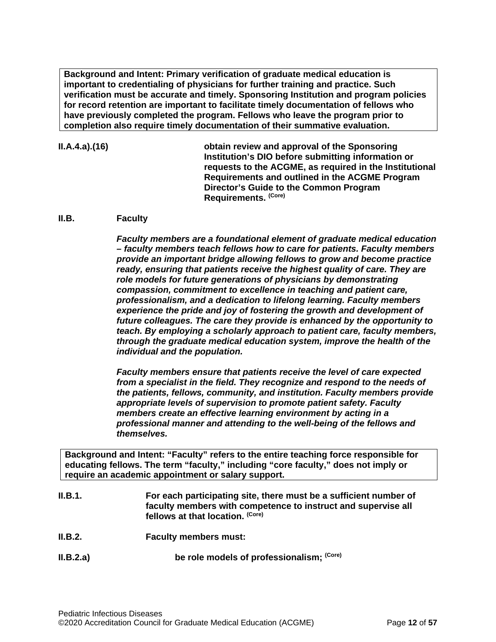**Background and Intent: Primary verification of graduate medical education is important to credentialing of physicians for further training and practice. Such verification must be accurate and timely. Sponsoring Institution and program policies for record retention are important to facilitate timely documentation of fellows who have previously completed the program. Fellows who leave the program prior to completion also require timely documentation of their summative evaluation.**

**II.A.4.a).(16) obtain review and approval of the Sponsoring Institution's DIO before submitting information or requests to the ACGME, as required in the Institutional Requirements and outlined in the ACGME Program Director's Guide to the Common Program Requirements. (Core)**

#### <span id="page-11-0"></span>**II.B. Faculty**

*Faculty members are a foundational element of graduate medical education – faculty members teach fellows how to care for patients. Faculty members provide an important bridge allowing fellows to grow and become practice ready, ensuring that patients receive the highest quality of care. They are role models for future generations of physicians by demonstrating compassion, commitment to excellence in teaching and patient care, professionalism, and a dedication to lifelong learning. Faculty members experience the pride and joy of fostering the growth and development of future colleagues. The care they provide is enhanced by the opportunity to teach. By employing a scholarly approach to patient care, faculty members, through the graduate medical education system, improve the health of the individual and the population.*

*Faculty members ensure that patients receive the level of care expected from a specialist in the field. They recognize and respond to the needs of the patients, fellows, community, and institution. Faculty members provide appropriate levels of supervision to promote patient safety. Faculty members create an effective learning environment by acting in a professional manner and attending to the well-being of the fellows and themselves.*

**Background and Intent: "Faculty" refers to the entire teaching force responsible for educating fellows. The term "faculty," including "core faculty," does not imply or require an academic appointment or salary support.**

- **II.B.1. For each participating site, there must be a sufficient number of faculty members with competence to instruct and supervise all fellows at that location. (Core)**
- **II.B.2. Faculty members must:**
- **II.B.2.a) be role models of professionalism;** <sup>(Core)</sup>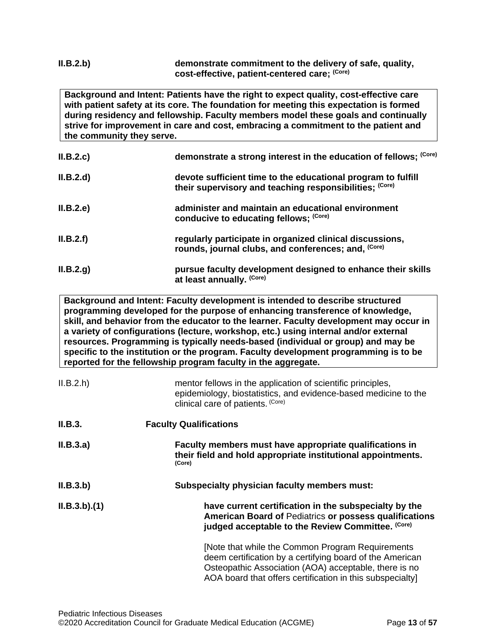### **II.B.2.b) demonstrate commitment to the delivery of safe, quality, cost-effective, patient-centered care; (Core)**

**Background and Intent: Patients have the right to expect quality, cost-effective care with patient safety at its core. The foundation for meeting this expectation is formed during residency and fellowship. Faculty members model these goals and continually strive for improvement in care and cost, embracing a commitment to the patient and the community they serve.**

| II.B.2.c  | demonstrate a strong interest in the education of fellows; (Core)                                                       |
|-----------|-------------------------------------------------------------------------------------------------------------------------|
| II.B.2.d) | devote sufficient time to the educational program to fulfill<br>their supervisory and teaching responsibilities; (Core) |
| II.B.2.e  | administer and maintain an educational environment<br>conducive to educating fellows; (Core)                            |
| II.B.2.f) | regularly participate in organized clinical discussions,<br>rounds, journal clubs, and conferences; and, (Core)         |
| II.B.2.g. | pursue faculty development designed to enhance their skills<br>at least annually. (Core)                                |

**Background and Intent: Faculty development is intended to describe structured programming developed for the purpose of enhancing transference of knowledge, skill, and behavior from the educator to the learner. Faculty development may occur in a variety of configurations (lecture, workshop, etc.) using internal and/or external resources. Programming is typically needs-based (individual or group) and may be specific to the institution or the program. Faculty development programming is to be reported for the fellowship program faculty in the aggregate.**

| II.B.2.h    | mentor fellows in the application of scientific principles,<br>epidemiology, biostatistics, and evidence-based medicine to the<br>clinical care of patients. (Core)                                                               |
|-------------|-----------------------------------------------------------------------------------------------------------------------------------------------------------------------------------------------------------------------------------|
| II.B.3.     | <b>Faculty Qualifications</b>                                                                                                                                                                                                     |
| II.B.3.a)   | Faculty members must have appropriate qualifications in<br>their field and hold appropriate institutional appointments.<br>(Core)                                                                                                 |
| II.B.3.b)   | Subspecialty physician faculty members must:                                                                                                                                                                                      |
| ILB.3.b)(1) | have current certification in the subspecialty by the<br><b>American Board of Pediatrics or possess qualifications</b><br>judged acceptable to the Review Committee. (Core)                                                       |
|             | [Note that while the Common Program Requirements<br>deem certification by a certifying board of the American<br>Osteopathic Association (AOA) acceptable, there is no<br>AOA board that offers certification in this subspecialty |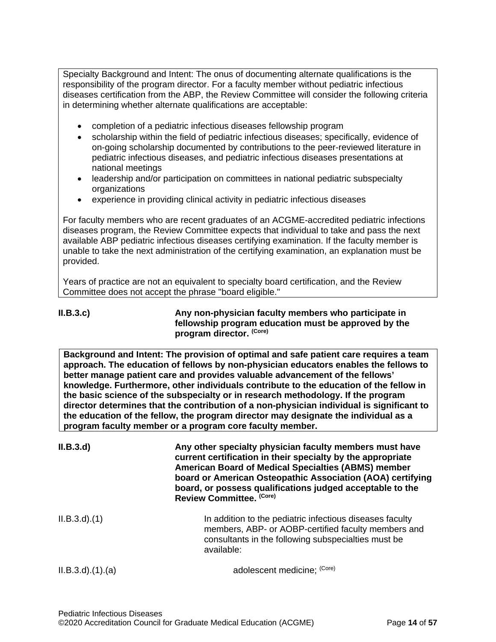Specialty Background and Intent: The onus of documenting alternate qualifications is the responsibility of the program director. For a faculty member without pediatric infectious diseases certification from the ABP, the Review Committee will consider the following criteria in determining whether alternate qualifications are acceptable:

- completion of a pediatric infectious diseases fellowship program
- scholarship within the field of pediatric infectious diseases; specifically, evidence of on-going scholarship documented by contributions to the peer-reviewed literature in pediatric infectious diseases, and pediatric infectious diseases presentations at national meetings
- leadership and/or participation on committees in national pediatric subspecialty organizations
- experience in providing clinical activity in pediatric infectious diseases

For faculty members who are recent graduates of an ACGME-accredited pediatric infections diseases program, the Review Committee expects that individual to take and pass the next available ABP pediatric infectious diseases certifying examination. If the faculty member is unable to take the next administration of the certifying examination, an explanation must be provided.

Years of practice are not an equivalent to specialty board certification, and the Review Committee does not accept the phrase "board eligible."

**II.B.3.c) Any non-physician faculty members who participate in fellowship program education must be approved by the program director. (Core)**

**Background and Intent: The provision of optimal and safe patient care requires a team approach. The education of fellows by non-physician educators enables the fellows to better manage patient care and provides valuable advancement of the fellows' knowledge. Furthermore, other individuals contribute to the education of the fellow in the basic science of the subspecialty or in research methodology. If the program director determines that the contribution of a non-physician individual is significant to the education of the fellow, the program director may designate the individual as a program faculty member or a program core faculty member.**

| II.B.3.d               | Any other specialty physician faculty members must have<br>current certification in their specialty by the appropriate<br><b>American Board of Medical Specialties (ABMS) member</b><br>board or American Osteopathic Association (AOA) certifying<br>board, or possess qualifications judged acceptable to the<br>Review Committee. (Core) |
|------------------------|---------------------------------------------------------------------------------------------------------------------------------------------------------------------------------------------------------------------------------------------------------------------------------------------------------------------------------------------|
| $ILB.3.d$ $(1)$        | In addition to the pediatric infectious diseases faculty<br>members, ABP- or AOBP-certified faculty members and<br>consultants in the following subspecialties must be<br>available:                                                                                                                                                        |
| $ILB.3.d$ $(1).$ $(a)$ | adolescent medicine; (Core)                                                                                                                                                                                                                                                                                                                 |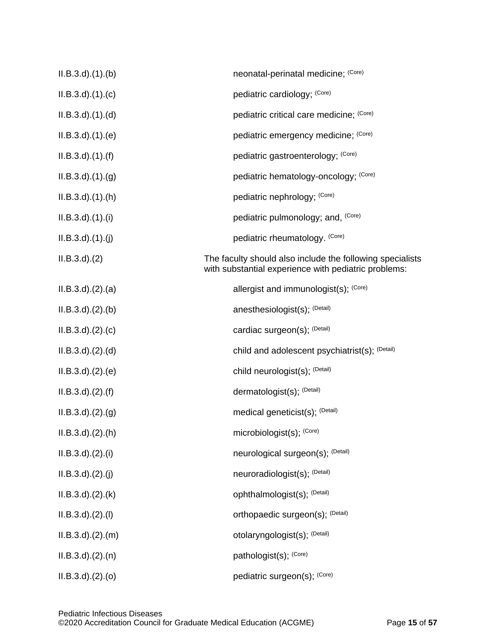| $ILB.3.d$ $(1).$ (b)   | neonatal-perinatal medicine; (Core)                                                                               |
|------------------------|-------------------------------------------------------------------------------------------------------------------|
| $ILB.3.d$ $(1).$ $(c)$ | pediatric cardiology; (Core)                                                                                      |
| $ILB.3.d$ $(1).d)$     | pediatric critical care medicine; (Core)                                                                          |
| $ILB.3.d$ $(1).e)$     | pediatric emergency medicine; (Core)                                                                              |
| $ILB.3.d$ $(1).(f)$    | pediatric gastroenterology; (Core)                                                                                |
| $ILB.3.d$ $(1)(g)$     | pediatric hematology-oncology; (Core)                                                                             |
| $ILB.3.d$ $(1).(h)$    | pediatric nephrology; (Core)                                                                                      |
| $ILB.3.d$ $(1).$       | pediatric pulmonology; and, (Core)                                                                                |
| $ILB.3.d$ $(1).$ (j)   | pediatric rheumatology. (Core)                                                                                    |
| $ILB.3.d$ $(2)$        | The faculty should also include the following specialists<br>with substantial experience with pediatric problems: |
| $ILB.3.d$ $(2).(a)$    | allergist and immunologist(s); (Core)                                                                             |
| $ILB.3.d$ $(2).$ $(b)$ | anesthesiologist(s); (Detail)                                                                                     |
| $ILB.3.d$ $(2).$ $(c)$ | cardiac surgeon(s); (Detail)                                                                                      |
| ILB.3.d. (2). (d)      | child and adolescent psychiatrist(s); (Detail)                                                                    |
| ILB.3.d. (2). (e)      | child neurologist(s); (Detail)                                                                                    |
| $ILB.3.d$ $(2).(f)$    | dermatologist(s); (Detail)                                                                                        |
| $ILB.3.d$ $(2).(g)$    | medical geneticist(s); (Detail)                                                                                   |
| $ILB.3.d$ $(2).(h)$    | microbiologist(s); (Core)                                                                                         |
| $ILB.3.d$ $(2).(i)$    | neurological surgeon(s); (Detail)                                                                                 |
| $ILB.3.d$ $(2).(j)$    | neuroradiologist(s); (Detail)                                                                                     |
| $ILB.3.d$ $(2).$ (k)   | ophthalmologist(s); (Detail)                                                                                      |
| $ILB.3.d$ $.(2).(1)$   | orthopaedic surgeon(s); (Detail)                                                                                  |
| $ILB.3.d$ $(2).$ $(m)$ | otolaryngologist(s); (Detail)                                                                                     |
| $ILB.3.d$ $(2).(n)$    | pathologist(s); (Core)                                                                                            |
| $ILB.3.d$ $.(2)(o)$    | pediatric surgeon(s); (Core)                                                                                      |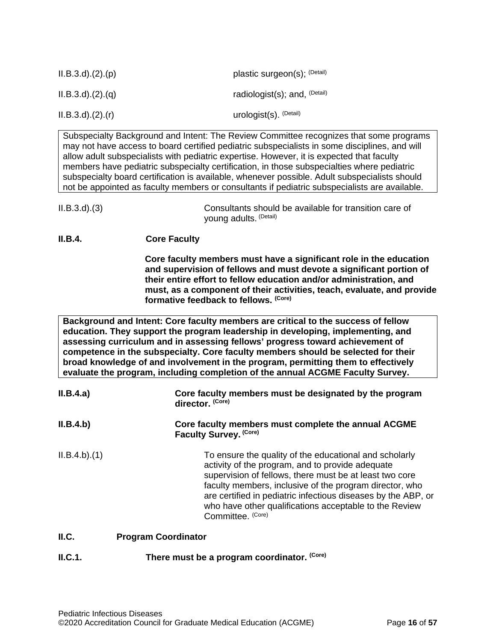| $ILB.3.d$ $(2).(p)$ | plastic surgeon(s); (Detail)  |
|---------------------|-------------------------------|
| $ILB.3.d$ $(2).q$   | radiologist(s); and, $(Deta)$ |
| $ILB.3.d$ $(2).(r)$ | urologist(s). (Detail)        |

Subspecialty Background and Intent: The Review Committee recognizes that some programs may not have access to board certified pediatric subspecialists in some disciplines, and will allow adult subspecialists with pediatric expertise. However, it is expected that faculty members have pediatric subspecialty certification, in those subspecialties where pediatric subspecialty board certification is available, whenever possible. Adult subspecialists should not be appointed as faculty members or consultants if pediatric subspecialists are available.

**II.B.4. Core Faculty**

**Core faculty members must have a significant role in the education and supervision of fellows and must devote a significant portion of their entire effort to fellow education and/or administration, and must, as a component of their activities, teach, evaluate, and provide formative feedback to fellows. (Core)**

**Background and Intent: Core faculty members are critical to the success of fellow education. They support the program leadership in developing, implementing, and assessing curriculum and in assessing fellows' progress toward achievement of competence in the subspecialty. Core faculty members should be selected for their broad knowledge of and involvement in the program, permitting them to effectively evaluate the program, including completion of the annual ACGME Faculty Survey.**

| II.B.4.a)   | Core faculty members must be designated by the program<br>director. (Core)                                                                                                                                                                                                                                                                                                       |  |
|-------------|----------------------------------------------------------------------------------------------------------------------------------------------------------------------------------------------------------------------------------------------------------------------------------------------------------------------------------------------------------------------------------|--|
| II.B.4.b)   | Core faculty members must complete the annual ACGME<br>Faculty Survey. (Core)                                                                                                                                                                                                                                                                                                    |  |
| ILB.4.b)(1) | To ensure the quality of the educational and scholarly<br>activity of the program, and to provide adequate<br>supervision of fellows, there must be at least two core<br>faculty members, inclusive of the program director, who<br>are certified in pediatric infectious diseases by the ABP, or<br>who have other qualifications acceptable to the Review<br>Committee. (Core) |  |

### <span id="page-15-0"></span>**II.C. Program Coordinator**

**II.C.1. There must be a program coordinator.** (Core)

II.B.3.d).(3) Consultants should be available for transition care of young adults. (Detail)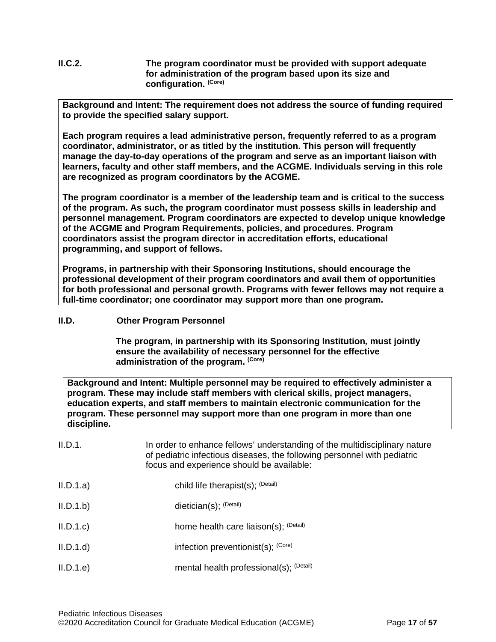**II.C.2. The program coordinator must be provided with support adequate for administration of the program based upon its size and configuration. (Core)**

**Background and Intent: The requirement does not address the source of funding required to provide the specified salary support.**

**Each program requires a lead administrative person, frequently referred to as a program coordinator, administrator, or as titled by the institution. This person will frequently manage the day-to-day operations of the program and serve as an important liaison with learners, faculty and other staff members, and the ACGME. Individuals serving in this role are recognized as program coordinators by the ACGME.**

**The program coordinator is a member of the leadership team and is critical to the success of the program. As such, the program coordinator must possess skills in leadership and personnel management. Program coordinators are expected to develop unique knowledge of the ACGME and Program Requirements, policies, and procedures. Program coordinators assist the program director in accreditation efforts, educational programming, and support of fellows.**

**Programs, in partnership with their Sponsoring Institutions, should encourage the professional development of their program coordinators and avail them of opportunities for both professional and personal growth. Programs with fewer fellows may not require a full-time coordinator; one coordinator may support more than one program.** 

## <span id="page-16-0"></span>**II.D. Other Program Personnel**

**The program, in partnership with its Sponsoring Institution***,* **must jointly ensure the availability of necessary personnel for the effective administration of the program. (Core)**

**Background and Intent: Multiple personnel may be required to effectively administer a program. These may include staff members with clerical skills, project managers, education experts, and staff members to maintain electronic communication for the program. These personnel may support more than one program in more than one discipline.**

| II.D.1.   | In order to enhance fellows' understanding of the multidisciplinary nature<br>of pediatric infectious diseases, the following personnel with pediatric<br>focus and experience should be available: |
|-----------|-----------------------------------------------------------------------------------------------------------------------------------------------------------------------------------------------------|
| II.D.1.a) | child life therapist(s); $(Deta)$                                                                                                                                                                   |
| II.D.1.b) | dietician(s); $(Deta)$                                                                                                                                                                              |
| II.D.1.c  | home health care liaison(s); (Detail)                                                                                                                                                               |
| II.D.1.d  | infection preventionist(s); $(Core)$                                                                                                                                                                |
| II.D.1.e  | mental health professional(s); (Detail)                                                                                                                                                             |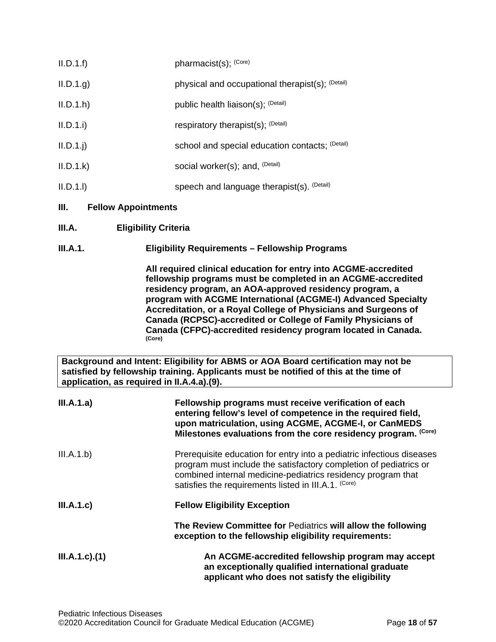<span id="page-17-1"></span><span id="page-17-0"></span>

| II.D.1.f                                   | pharmacist(s); (Core)                                                                                                                                                                                                                                                                                                                                                                                                                                                     |
|--------------------------------------------|---------------------------------------------------------------------------------------------------------------------------------------------------------------------------------------------------------------------------------------------------------------------------------------------------------------------------------------------------------------------------------------------------------------------------------------------------------------------------|
| II.D.1.g.                                  | physical and occupational therapist(s); (Detail)                                                                                                                                                                                                                                                                                                                                                                                                                          |
| II.D.1.h                                   | public health liaison(s); (Detail)                                                                                                                                                                                                                                                                                                                                                                                                                                        |
| II.D.1.i                                   | respiratory therapist(s); (Detail)                                                                                                                                                                                                                                                                                                                                                                                                                                        |
| $II.D.1.$ j                                | school and special education contacts; (Detail)                                                                                                                                                                                                                                                                                                                                                                                                                           |
| II.D.1.k                                   | social worker(s); and, (Detail)                                                                                                                                                                                                                                                                                                                                                                                                                                           |
| II.D.1.1                                   | speech and language therapist(s). (Detail)                                                                                                                                                                                                                                                                                                                                                                                                                                |
| Ш.<br><b>Fellow Appointments</b>           |                                                                                                                                                                                                                                                                                                                                                                                                                                                                           |
| III.A.                                     | <b>Eligibility Criteria</b>                                                                                                                                                                                                                                                                                                                                                                                                                                               |
| <b>III.A.1.</b>                            | <b>Eligibility Requirements - Fellowship Programs</b>                                                                                                                                                                                                                                                                                                                                                                                                                     |
|                                            | All required clinical education for entry into ACGME-accredited<br>fellowship programs must be completed in an ACGME-accredited<br>residency program, an AOA-approved residency program, a<br>program with ACGME International (ACGME-I) Advanced Specialty<br>Accreditation, or a Royal College of Physicians and Surgeons of<br>Canada (RCPSC)-accredited or College of Family Physicians of<br>Canada (CFPC)-accredited residency program located in Canada.<br>(Core) |
| application, as required in II.A.4.a).(9). | Background and Intent: Eligibility for ABMS or AOA Board certification may not be<br>satisfied by fellowship training. Applicants must be notified of this at the time of                                                                                                                                                                                                                                                                                                 |
| III.A.1.a)                                 | Fellowship programs must receive verification of each<br>entering fellow's level of competence in the required field,<br>upon matriculation, using ACGME, ACGME-I, or CanMEDS<br>Milestones evaluations from the core residency program. (Core)                                                                                                                                                                                                                           |
| III.A.1.b)                                 | Prerequisite education for entry into a pediatric infectious diseases<br>program must include the satisfactory completion of pediatrics or<br>combined internal medicine-pediatrics residency program that<br>satisfies the requirements listed in III.A.1. (Core)                                                                                                                                                                                                        |
| III.A.1.c                                  | <b>Fellow Eligibility Exception</b>                                                                                                                                                                                                                                                                                                                                                                                                                                       |
|                                            | The Review Committee for Pediatrics will allow the following<br>exception to the fellowship eligibility requirements:                                                                                                                                                                                                                                                                                                                                                     |
| $III.A.1.c$ ). $(1)$                       | An ACGME-accredited fellowship program may accept<br>an exceptionally qualified international graduate<br>applicant who does not satisfy the eligibility                                                                                                                                                                                                                                                                                                                  |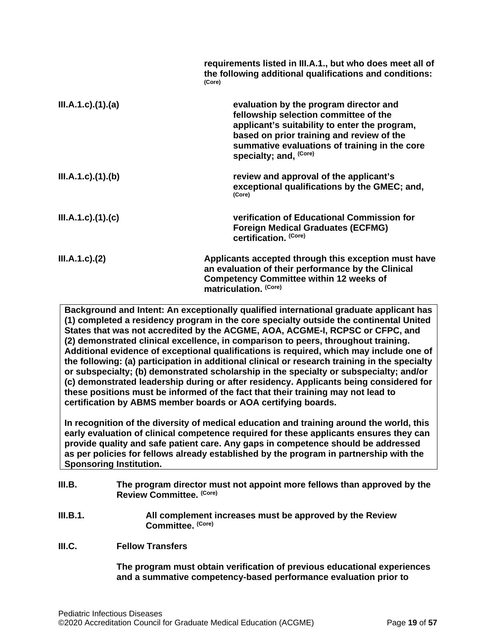|                      | requirements listed in III.A.1., but who does meet all of<br>the following additional qualifications and conditions:<br>(Core)                                                                                                                           |
|----------------------|----------------------------------------------------------------------------------------------------------------------------------------------------------------------------------------------------------------------------------------------------------|
| III.A.1.c)(1).(a)    | evaluation by the program director and<br>fellowship selection committee of the<br>applicant's suitability to enter the program,<br>based on prior training and review of the<br>summative evaluations of training in the core<br>specialty; and, (Core) |
| III.A.1.c)(1)(b)     | review and approval of the applicant's<br>exceptional qualifications by the GMEC; and,<br>(Core)                                                                                                                                                         |
| III.A.1.c)(1)(c)     | verification of Educational Commission for<br><b>Foreign Medical Graduates (ECFMG)</b><br>certification. (Core)                                                                                                                                          |
| $III.A.1.c$ ). $(2)$ | Applicants accepted through this exception must have<br>an evaluation of their performance by the Clinical<br><b>Competency Committee within 12 weeks of</b><br>matriculation. (Core)                                                                    |

**Background and Intent: An exceptionally qualified international graduate applicant has (1) completed a residency program in the core specialty outside the continental United States that was not accredited by the ACGME, AOA, ACGME-I, RCPSC or CFPC, and (2) demonstrated clinical excellence, in comparison to peers, throughout training. Additional evidence of exceptional qualifications is required, which may include one of the following: (a) participation in additional clinical or research training in the specialty or subspecialty; (b) demonstrated scholarship in the specialty or subspecialty; and/or (c) demonstrated leadership during or after residency. Applicants being considered for these positions must be informed of the fact that their training may not lead to certification by ABMS member boards or AOA certifying boards.**

**In recognition of the diversity of medical education and training around the world, this early evaluation of clinical competence required for these applicants ensures they can provide quality and safe patient care. Any gaps in competence should be addressed as per policies for fellows already established by the program in partnership with the Sponsoring Institution.**

- <span id="page-18-0"></span>**III.B. The program director must not appoint more fellows than approved by the Review Committee. (Core)**
- **III.B.1. All complement increases must be approved by the Review Committee. (Core)**
- <span id="page-18-1"></span>**III.C. Fellow Transfers**

**The program must obtain verification of previous educational experiences and a summative competency-based performance evaluation prior to**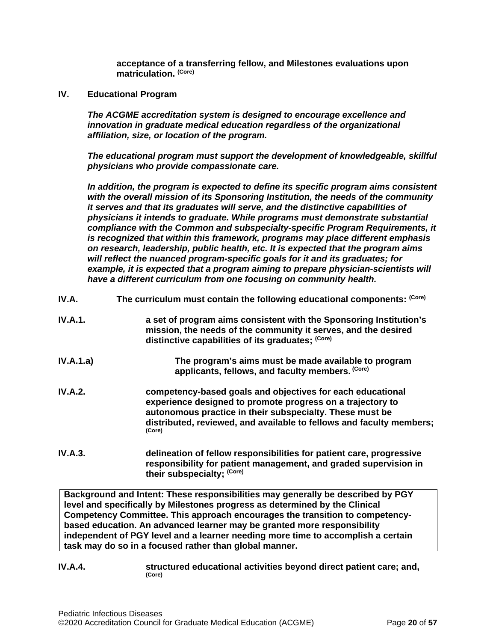**acceptance of a transferring fellow, and Milestones evaluations upon matriculation. (Core)**

<span id="page-19-0"></span>**IV. Educational Program**

*The ACGME accreditation system is designed to encourage excellence and innovation in graduate medical education regardless of the organizational affiliation, size, or location of the program.*

*The educational program must support the development of knowledgeable, skillful physicians who provide compassionate care.*

*In addition, the program is expected to define its specific program aims consistent with the overall mission of its Sponsoring Institution, the needs of the community it serves and that its graduates will serve, and the distinctive capabilities of physicians it intends to graduate. While programs must demonstrate substantial compliance with the Common and subspecialty-specific Program Requirements, it is recognized that within this framework, programs may place different emphasis on research, leadership, public health, etc. It is expected that the program aims will reflect the nuanced program-specific goals for it and its graduates; for example, it is expected that a program aiming to prepare physician-scientists will have a different curriculum from one focusing on community health.*

- <span id="page-19-1"></span>**IV.A.** The curriculum must contain the following educational components: <sup>(Core)</sup>
- **IV.A.1. a set of program aims consistent with the Sponsoring Institution's mission, the needs of the community it serves, and the desired distinctive capabilities of its graduates; (Core)**
- **IV.A.1.a) The program's aims must be made available to program applicants, fellows, and faculty members. (Core)**
- **IV.A.2. competency-based goals and objectives for each educational experience designed to promote progress on a trajectory to autonomous practice in their subspecialty. These must be distributed, reviewed, and available to fellows and faculty members; (Core)**
- **IV.A.3. delineation of fellow responsibilities for patient care, progressive responsibility for patient management, and graded supervision in their subspecialty; (Core)**

**Background and Intent: These responsibilities may generally be described by PGY level and specifically by Milestones progress as determined by the Clinical Competency Committee. This approach encourages the transition to competencybased education. An advanced learner may be granted more responsibility independent of PGY level and a learner needing more time to accomplish a certain task may do so in a focused rather than global manner.**

**IV.A.4. structured educational activities beyond direct patient care; and,**  $(Core)$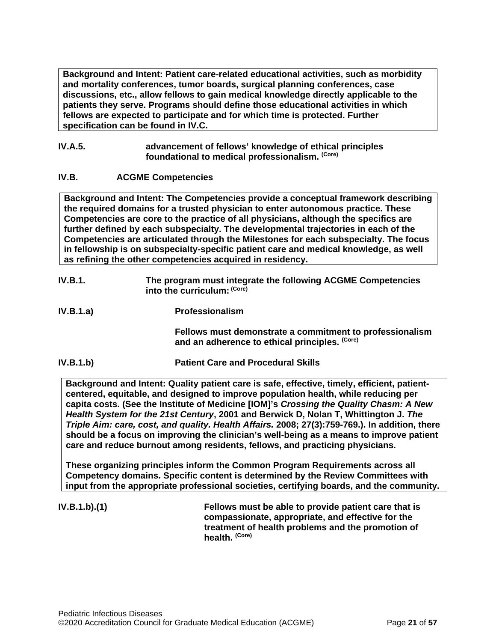**Background and Intent: Patient care-related educational activities, such as morbidity and mortality conferences, tumor boards, surgical planning conferences, case discussions, etc., allow fellows to gain medical knowledge directly applicable to the patients they serve. Programs should define those educational activities in which fellows are expected to participate and for which time is protected. Further specification can be found in IV.C.**

### **IV.A.5. advancement of fellows' knowledge of ethical principles foundational to medical professionalism. (Core)**

## <span id="page-20-0"></span>**IV.B. ACGME Competencies**

**Background and Intent: The Competencies provide a conceptual framework describing the required domains for a trusted physician to enter autonomous practice. These Competencies are core to the practice of all physicians, although the specifics are further defined by each subspecialty. The developmental trajectories in each of the Competencies are articulated through the Milestones for each subspecialty. The focus in fellowship is on subspecialty-specific patient care and medical knowledge, as well as refining the other competencies acquired in residency.**

- **IV.B.1. The program must integrate the following ACGME Competencies into the curriculum: (Core)**
- **IV.B.1.a) Professionalism**

**Fellows must demonstrate a commitment to professionalism and an adherence to ethical principles. (Core)**

**IV.B.1.b) Patient Care and Procedural Skills**

**Background and Intent: Quality patient care is safe, effective, timely, efficient, patientcentered, equitable, and designed to improve population health, while reducing per capita costs. (See the Institute of Medicine [IOM]'s** *Crossing the Quality Chasm: A New Health System for the 21st Century***, 2001 and Berwick D, Nolan T, Whittington J.** *The Triple Aim: care, cost, and quality. Health Affairs.* **2008; 27(3):759-769.). In addition, there should be a focus on improving the clinician's well-being as a means to improve patient care and reduce burnout among residents, fellows, and practicing physicians.**

**These organizing principles inform the Common Program Requirements across all Competency domains. Specific content is determined by the Review Committees with input from the appropriate professional societies, certifying boards, and the community.**

**IV.B.1.b).(1) Fellows must be able to provide patient care that is compassionate, appropriate, and effective for the treatment of health problems and the promotion of health. (Core)**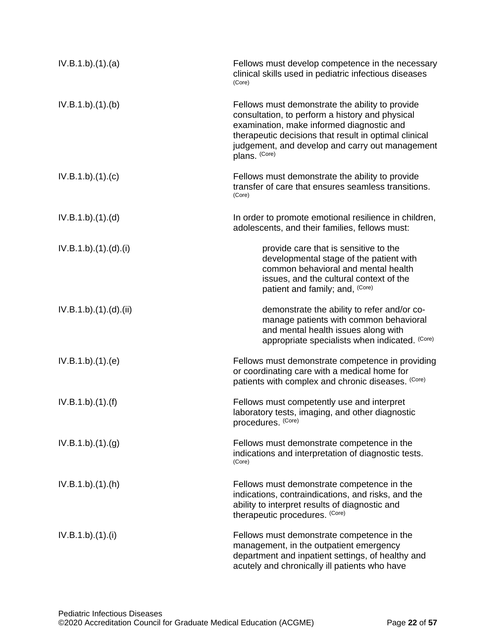| IV.B.1.b)(1)(a)     | Fellows must develop competence in the necessary<br>clinical skills used in pediatric infectious diseases<br>(Core)                                                                                                                                                          |
|---------------------|------------------------------------------------------------------------------------------------------------------------------------------------------------------------------------------------------------------------------------------------------------------------------|
| IV.B.1.b)(1)(b)     | Fellows must demonstrate the ability to provide<br>consultation, to perform a history and physical<br>examination, make informed diagnostic and<br>therapeutic decisions that result in optimal clinical<br>judgement, and develop and carry out management<br>plans. (Core) |
| IV.B.1.b)(1)(c)     | Fellows must demonstrate the ability to provide<br>transfer of care that ensures seamless transitions.<br>(Core)                                                                                                                                                             |
| IV.B.1.b)(1)(d)     | In order to promote emotional resilience in children,<br>adolescents, and their families, fellows must:                                                                                                                                                                      |
| IV.B.1.b)(1)(d)(i)  | provide care that is sensitive to the<br>developmental stage of the patient with<br>common behavioral and mental health<br>issues, and the cultural context of the<br>patient and family; and, (Core)                                                                        |
| IV.B.1.b)(1)(d)(ii) | demonstrate the ability to refer and/or co-<br>manage patients with common behavioral<br>and mental health issues along with<br>appropriate specialists when indicated. (Core)                                                                                               |
| IV.B.1.b)(1)(e)     | Fellows must demonstrate competence in providing<br>or coordinating care with a medical home for<br>patients with complex and chronic diseases. (Core)                                                                                                                       |
| IV.B.1.b)(1)(f)     | Fellows must competently use and interpret<br>laboratory tests, imaging, and other diagnostic<br>procedures. (Core)                                                                                                                                                          |
| IV.B.1.b)(1)(g)     | Fellows must demonstrate competence in the<br>indications and interpretation of diagnostic tests.<br>(Core)                                                                                                                                                                  |
| IV.B.1.b)(1)(h)     | Fellows must demonstrate competence in the<br>indications, contraindications, and risks, and the<br>ability to interpret results of diagnostic and<br>therapeutic procedures. (Core)                                                                                         |
| IV.B.1.b)(1)(i)     | Fellows must demonstrate competence in the<br>management, in the outpatient emergency<br>department and inpatient settings, of healthy and<br>acutely and chronically ill patients who have                                                                                  |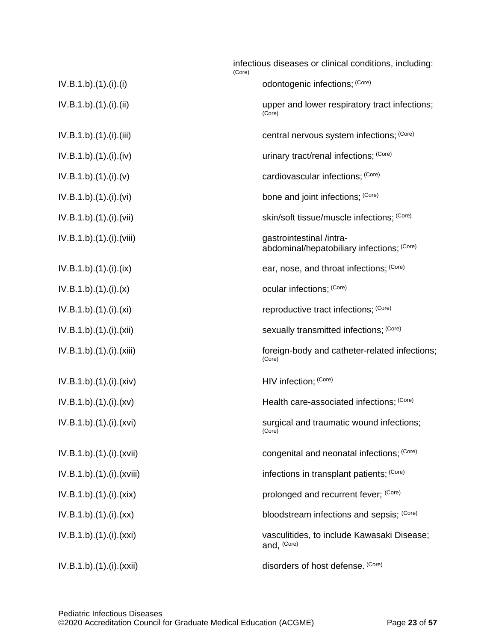|                            | infectious diseases or clinical conditions, including:<br>(Core)       |
|----------------------------|------------------------------------------------------------------------|
| IV.B.1.b)(1)(i)(i)         | odontogenic infections; (Core)                                         |
| IV.B.1.b)(1)(i)(ii)        | upper and lower respiratory tract infections;<br>(Core)                |
| $IV.B.1.b).(1).(i).$ (iii) | central nervous system infections; (Core)                              |
| IV.B.1.b)(1)(i)(iv)        | urinary tract/renal infections; (Core)                                 |
| IV.B.1.b)(1)(i)(v)         | cardiovascular infections; (Core)                                      |
| IV.B.1.b)(1)(i)(vi)        | bone and joint infections; (Core)                                      |
| IV.B.1.b)(1)(i)(vii)       | skin/soft tissue/muscle infections; (Core)                             |
| IV.B.1.b).(1).(i).(viii)   | gastrointestinal /intra-<br>abdominal/hepatobiliary infections; (Core) |
| IV.B.1.b)(1)(i)(ix)        | ear, nose, and throat infections; (Core)                               |
| IV.B.1.b)(1)(i)(x)         | ocular infections; (Core)                                              |
| IV.B.1.b)(1)(i)(xi)        | reproductive tract infections; (Core)                                  |
| IV.B.1.b)(1)(i)(xii)       | sexually transmitted infections; (Core)                                |
| IV.B.1.b).(1).(i).(xiii)   | foreign-body and catheter-related infections;<br>(Core)                |
| IV.B.1.b).(1).(i).(xiv)    | HIV infection; (Core)                                                  |
| IV.B.1.b)(1)(i)(xv)        | Health care-associated infections; (Core)                              |
| IV.B.1.b).(1).(i).(xvi)    | surgical and traumatic wound infections;<br>(Core)                     |
| IV.B.1.b)(1)(i)(xvii)      | congenital and neonatal infections; (Core)                             |
| IV.B.1.b).(1).(i).(xviii)  | infections in transplant patients; (Core)                              |
| IV.B.1.b)(1)(i)(xix)       | prolonged and recurrent fever; (Core)                                  |
| IV.B.1.b)(1)(i)(xx)        | bloodstream infections and sepsis; (Core)                              |
| IV.B.1.b).(1).(i).(xxi)    | vasculitides, to include Kawasaki Disease;<br>and, (Core)              |
| IV.B.1.b).(1).(i).(xxii)   | disorders of host defense. (Core)                                      |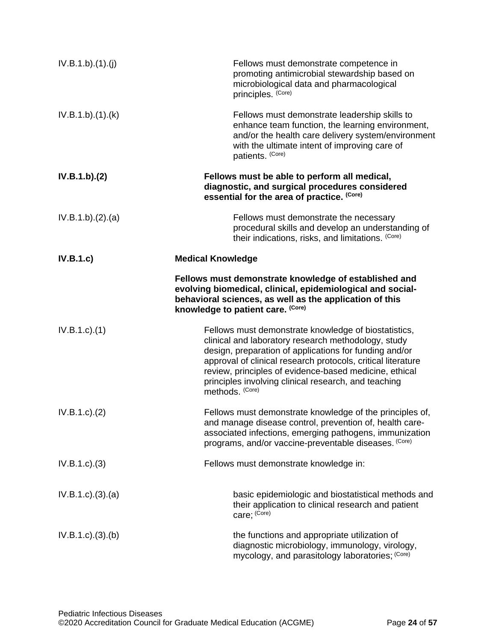| IV.B.1.b)(1)(j)       | Fellows must demonstrate competence in<br>promoting antimicrobial stewardship based on<br>microbiological data and pharmacological<br>principles. (Core)                                                                                                                                                                                                                   |
|-----------------------|----------------------------------------------------------------------------------------------------------------------------------------------------------------------------------------------------------------------------------------------------------------------------------------------------------------------------------------------------------------------------|
| IV.B.1.b)(1)(k)       | Fellows must demonstrate leadership skills to<br>enhance team function, the learning environment,<br>and/or the health care delivery system/environment<br>with the ultimate intent of improving care of<br>patients. (Core)                                                                                                                                               |
| IV.B.1.b)(2)          | Fellows must be able to perform all medical,<br>diagnostic, and surgical procedures considered<br>essential for the area of practice. (Core)                                                                                                                                                                                                                               |
| IV.B.1.b)(2).(a)      | Fellows must demonstrate the necessary<br>procedural skills and develop an understanding of<br>their indications, risks, and limitations. (Core)                                                                                                                                                                                                                           |
| IV.B.1.c)             | <b>Medical Knowledge</b>                                                                                                                                                                                                                                                                                                                                                   |
|                       | Fellows must demonstrate knowledge of established and<br>evolving biomedical, clinical, epidemiological and social-<br>behavioral sciences, as well as the application of this<br>knowledge to patient care. (Core)                                                                                                                                                        |
| $IV.B.1.c$ ). $(1)$   | Fellows must demonstrate knowledge of biostatistics,<br>clinical and laboratory research methodology, study<br>design, preparation of applications for funding and/or<br>approval of clinical research protocols, critical literature<br>review, principles of evidence-based medicine, ethical<br>principles involving clinical research, and teaching<br>methods. (Core) |
| IV.B.1.c.)(2)         | Fellows must demonstrate knowledge of the principles of,<br>and manage disease control, prevention of, health care-<br>associated infections, emerging pathogens, immunization<br>programs, and/or vaccine-preventable diseases. (Core)                                                                                                                                    |
| IV.B.1.c.3)           | Fellows must demonstrate knowledge in:                                                                                                                                                                                                                                                                                                                                     |
| $IV.B.1.c).$ (3). (a) | basic epidemiologic and biostatistical methods and<br>their application to clinical research and patient<br>care; (Core)                                                                                                                                                                                                                                                   |
| $IV.B.1.c).$ (3). (b) | the functions and appropriate utilization of<br>diagnostic microbiology, immunology, virology,<br>mycology, and parasitology laboratories; (Core)                                                                                                                                                                                                                          |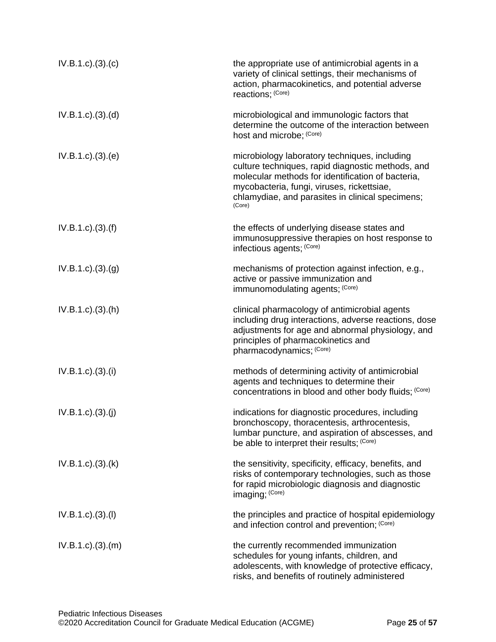| $IV.B.1.c).$ (3). (c)      | the appropriate use of antimicrobial agents in a<br>variety of clinical settings, their mechanisms of<br>action, pharmacokinetics, and potential adverse<br>reactions; (Core)                                                                                       |
|----------------------------|---------------------------------------------------------------------------------------------------------------------------------------------------------------------------------------------------------------------------------------------------------------------|
| $IV.B.1.c).$ (3). (d)      | microbiological and immunologic factors that<br>determine the outcome of the interaction between<br>host and microbe; (Core)                                                                                                                                        |
| IV.B.1.c). (3). (e)        | microbiology laboratory techniques, including<br>culture techniques, rapid diagnostic methods, and<br>molecular methods for identification of bacteria,<br>mycobacteria, fungi, viruses, rickettsiae,<br>chlamydiae, and parasites in clinical specimens;<br>(Core) |
| $IV.B.1.c).$ (3). (f)      | the effects of underlying disease states and<br>immunosuppressive therapies on host response to<br>infectious agents; (Core)                                                                                                                                        |
| IV.B.1.c.)(3.(g)           | mechanisms of protection against infection, e.g.,<br>active or passive immunization and<br>immunomodulating agents; (Core)                                                                                                                                          |
| $IV.B.1.c$ . $(3)$ . $(h)$ | clinical pharmacology of antimicrobial agents<br>including drug interactions, adverse reactions, dose<br>adjustments for age and abnormal physiology, and<br>principles of pharmacokinetics and<br>pharmacodynamics; (Core)                                         |
| IV.B.1.c). (3). (i)        | methods of determining activity of antimicrobial<br>agents and techniques to determine their<br>concentrations in blood and other body fluids; (Core)                                                                                                               |
| IV.B.1.c). (3). (j)        | indications for diagnostic procedures, including<br>bronchoscopy, thoracentesis, arthrocentesis,<br>lumbar puncture, and aspiration of abscesses, and<br>be able to interpret their results; (Core)                                                                 |
| $IV.B.1.c$ . $(3)$ . $(k)$ | the sensitivity, specificity, efficacy, benefits, and<br>risks of contemporary technologies, such as those<br>for rapid microbiologic diagnosis and diagnostic<br>imaging; (Core)                                                                                   |
| IV.B.1.c)(3)(I)            | the principles and practice of hospital epidemiology<br>and infection control and prevention; (Core)                                                                                                                                                                |
| $IV.B.1.c).$ (3). (m)      | the currently recommended immunization<br>schedules for young infants, children, and<br>adolescents, with knowledge of protective efficacy,<br>risks, and benefits of routinely administered                                                                        |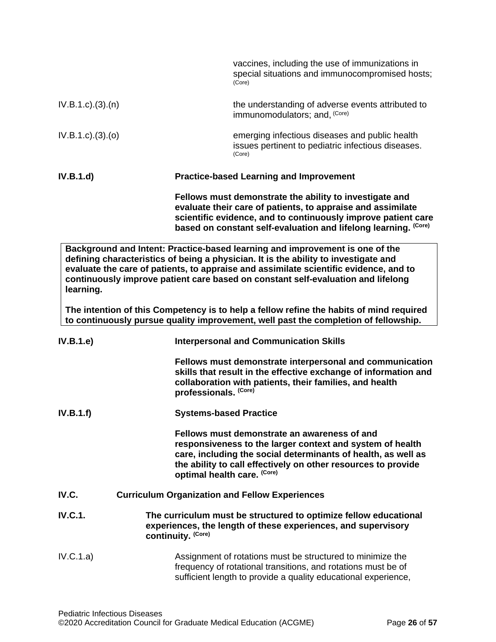<span id="page-25-0"></span>

|                             | vaccines, including the use of immunizations in<br>special situations and immunocompromised hosts;<br>(Core)                                                                                                                                                                                                                                     |
|-----------------------------|--------------------------------------------------------------------------------------------------------------------------------------------------------------------------------------------------------------------------------------------------------------------------------------------------------------------------------------------------|
| $IV.B.1.c$ ). $(3)$ . $(n)$ | the understanding of adverse events attributed to<br>immunomodulators; and, (Core)                                                                                                                                                                                                                                                               |
| IV.B.1.c). (3). (o)         | emerging infectious diseases and public health<br>issues pertinent to pediatric infectious diseases.<br>(Core)                                                                                                                                                                                                                                   |
| IV.B.1.d)                   | <b>Practice-based Learning and Improvement</b>                                                                                                                                                                                                                                                                                                   |
|                             | Fellows must demonstrate the ability to investigate and<br>evaluate their care of patients, to appraise and assimilate<br>scientific evidence, and to continuously improve patient care<br>based on constant self-evaluation and lifelong learning. (Core)                                                                                       |
| learning.                   | Background and Intent: Practice-based learning and improvement is one of the<br>defining characteristics of being a physician. It is the ability to investigate and<br>evaluate the care of patients, to appraise and assimilate scientific evidence, and to<br>continuously improve patient care based on constant self-evaluation and lifelong |
|                             | The intention of this Competency is to help a fellow refine the habits of mind required<br>to continuously pursue quality improvement, well past the completion of fellowship.                                                                                                                                                                   |
| IV.B.1.e)                   | <b>Interpersonal and Communication Skills</b>                                                                                                                                                                                                                                                                                                    |
|                             | Fellows must demonstrate interpersonal and communication<br>skills that result in the effective exchange of information and<br>collaboration with patients, their families, and health<br>professionals. (Core)                                                                                                                                  |
| IV.B.1.f)                   | <b>Systems-based Practice</b>                                                                                                                                                                                                                                                                                                                    |
|                             | Fellows must demonstrate an awareness of and<br>responsiveness to the larger context and system of health<br>care, including the social determinants of health, as well as<br>the ability to call effectively on other resources to provide<br>optimal health care. (Core)                                                                       |
| IV.C.                       | <b>Curriculum Organization and Fellow Experiences</b>                                                                                                                                                                                                                                                                                            |
| <b>IV.C.1.</b>              | The curriculum must be structured to optimize fellow educational<br>experiences, the length of these experiences, and supervisory<br>continuity. (Core)                                                                                                                                                                                          |
| IV.C.1.a)                   | Assignment of rotations must be structured to minimize the<br>frequency of rotational transitions, and rotations must be of<br>sufficient length to provide a quality educational experience,                                                                                                                                                    |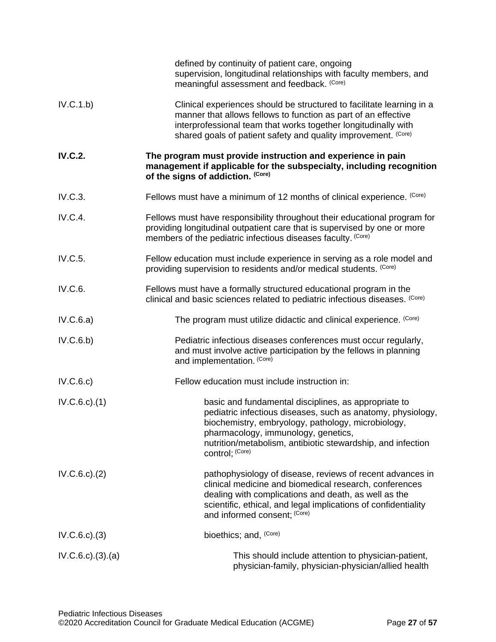|                           | defined by continuity of patient care, ongoing<br>supervision, longitudinal relationships with faculty members, and<br>meaningful assessment and feedback. (Core)                                                                                                                                  |  |
|---------------------------|----------------------------------------------------------------------------------------------------------------------------------------------------------------------------------------------------------------------------------------------------------------------------------------------------|--|
| IV.C.1.b)                 | Clinical experiences should be structured to facilitate learning in a<br>manner that allows fellows to function as part of an effective<br>interprofessional team that works together longitudinally with<br>shared goals of patient safety and quality improvement. (Core)                        |  |
| <b>IV.C.2.</b>            | The program must provide instruction and experience in pain<br>management if applicable for the subspecialty, including recognition<br>of the signs of addiction. (Core)                                                                                                                           |  |
| IV.C.3.                   | Fellows must have a minimum of 12 months of clinical experience. (Core)                                                                                                                                                                                                                            |  |
| <b>IV.C.4.</b>            | Fellows must have responsibility throughout their educational program for<br>providing longitudinal outpatient care that is supervised by one or more<br>members of the pediatric infectious diseases faculty. (Core)                                                                              |  |
| IV.C.5.                   | Fellow education must include experience in serving as a role model and<br>providing supervision to residents and/or medical students. (Core)                                                                                                                                                      |  |
| IV.C.6.                   | Fellows must have a formally structured educational program in the<br>clinical and basic sciences related to pediatric infectious diseases. (Core)                                                                                                                                                 |  |
| IV.C.6.a)                 | The program must utilize didactic and clinical experience. (Core)                                                                                                                                                                                                                                  |  |
| IV.C.6.b)                 | Pediatric infectious diseases conferences must occur regularly,<br>and must involve active participation by the fellows in planning<br>and implementation. (Core)                                                                                                                                  |  |
| IV.C.6.c)                 | Fellow education must include instruction in:                                                                                                                                                                                                                                                      |  |
| $IV.C.6.c$ . $(1)$        | basic and fundamental disciplines, as appropriate to<br>pediatric infectious diseases, such as anatomy, physiology,<br>biochemistry, embryology, pathology, microbiology,<br>pharmacology, immunology, genetics,<br>nutrition/metabolism, antibiotic stewardship, and infection<br>control; (Core) |  |
| $IV.C.6.c$ . $(2)$        | pathophysiology of disease, reviews of recent advances in<br>clinical medicine and biomedical research, conferences<br>dealing with complications and death, as well as the<br>scientific, ethical, and legal implications of confidentiality<br>and informed consent; (Core)                      |  |
| IV.C.6.c.3)               | bioethics; and, (Core)                                                                                                                                                                                                                                                                             |  |
| $IV.C.6.c$ . $(3).$ $(a)$ | This should include attention to physician-patient,<br>physician-family, physician-physician/allied health                                                                                                                                                                                         |  |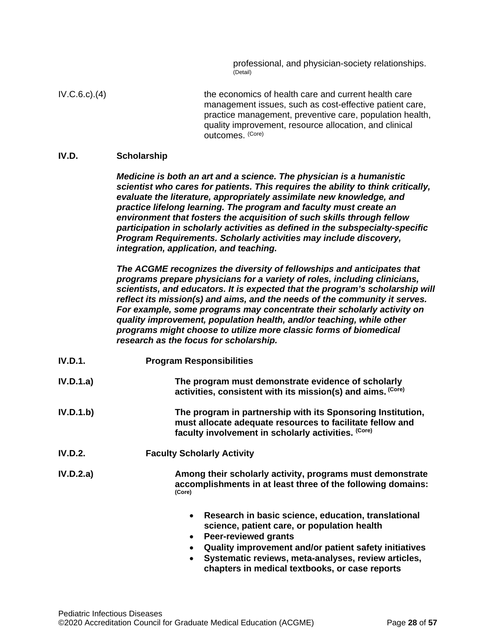professional, and physician-society relationships. (Detail)

IV.C.6.c).(4) the economics of health care and current health care management issues, such as cost-effective patient care, practice management, preventive care, population health, quality improvement, resource allocation, and clinical outcomes. (Core)

### <span id="page-27-0"></span>**IV.D. Scholarship**

*Medicine is both an art and a science. The physician is a humanistic scientist who cares for patients. This requires the ability to think critically, evaluate the literature, appropriately assimilate new knowledge, and practice lifelong learning. The program and faculty must create an environment that fosters the acquisition of such skills through fellow participation in scholarly activities as defined in the subspecialty-specific Program Requirements. Scholarly activities may include discovery, integration, application, and teaching.*

*The ACGME recognizes the diversity of fellowships and anticipates that programs prepare physicians for a variety of roles, including clinicians, scientists, and educators. It is expected that the program's scholarship will reflect its mission(s) and aims, and the needs of the community it serves. For example, some programs may concentrate their scholarly activity on quality improvement, population health, and/or teaching, while other programs might choose to utilize more classic forms of biomedical research as the focus for scholarship.*

- **IV.D.1. Program Responsibilities**
- **IV.D.1.a) The program must demonstrate evidence of scholarly activities, consistent with its mission(s) and aims. (Core)**
- **IV.D.1.b) The program in partnership with its Sponsoring Institution, must allocate adequate resources to facilitate fellow and faculty involvement in scholarly activities. (Core)**
- **IV.D.2. Faculty Scholarly Activity**
- **IV.D.2.a) Among their scholarly activity, programs must demonstrate accomplishments in at least three of the following domains: (Core)**
	- **Research in basic science, education, translational science, patient care, or population health**
	- **Peer-reviewed grants**
	- **Quality improvement and/or patient safety initiatives**
	- **Systematic reviews, meta-analyses, review articles, chapters in medical textbooks, or case reports**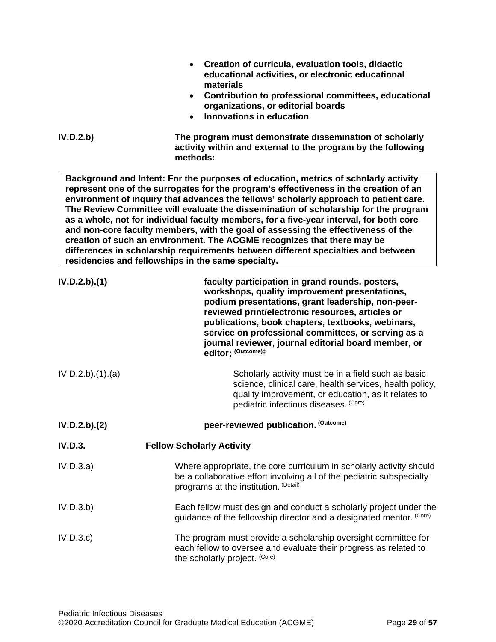| IV.D.2.b)        | Creation of curricula, evaluation tools, didactic<br>educational activities, or electronic educational<br>materials<br>Contribution to professional committees, educational<br>$\bullet$<br>organizations, or editorial boards<br><b>Innovations in education</b><br>$\bullet$<br>The program must demonstrate dissemination of scholarly<br>activity within and external to the program by the following<br>methods:                                                                                                                                                                                                                                                                                                                                              |
|------------------|--------------------------------------------------------------------------------------------------------------------------------------------------------------------------------------------------------------------------------------------------------------------------------------------------------------------------------------------------------------------------------------------------------------------------------------------------------------------------------------------------------------------------------------------------------------------------------------------------------------------------------------------------------------------------------------------------------------------------------------------------------------------|
|                  | Background and Intent: For the purposes of education, metrics of scholarly activity<br>represent one of the surrogates for the program's effectiveness in the creation of an<br>environment of inquiry that advances the fellows' scholarly approach to patient care.<br>The Review Committee will evaluate the dissemination of scholarship for the program<br>as a whole, not for individual faculty members, for a five-year interval, for both core<br>and non-core faculty members, with the goal of assessing the effectiveness of the<br>creation of such an environment. The ACGME recognizes that there may be<br>differences in scholarship requirements between different specialties and between<br>residencies and fellowships in the same specialty. |
| IV.D.2.b).(1)    | faculty participation in grand rounds, posters,<br>workshops, quality improvement presentations,<br>podium presentations, grant leadership, non-peer-<br>reviewed print/electronic resources, articles or<br>publications, book chapters, textbooks, webinars,<br>service on professional committees, or serving as a<br>journal reviewer, journal editorial board member, or<br>editor; (Outcome)#                                                                                                                                                                                                                                                                                                                                                                |
| IV.D.2.b)(1).(a) | Scholarly activity must be in a field such as basic<br>science, clinical care, health services, health policy,<br>quality improvement, or education, as it relates to<br>pediatric infectious diseases. (Core)                                                                                                                                                                                                                                                                                                                                                                                                                                                                                                                                                     |
| IV.D.2.b).(2)    | peer-reviewed publication. (Outcome)                                                                                                                                                                                                                                                                                                                                                                                                                                                                                                                                                                                                                                                                                                                               |
| <b>IV.D.3.</b>   | <b>Fellow Scholarly Activity</b>                                                                                                                                                                                                                                                                                                                                                                                                                                                                                                                                                                                                                                                                                                                                   |
| IV.D.3.a)        | Where appropriate, the core curriculum in scholarly activity should<br>be a collaborative effort involving all of the pediatric subspecialty<br>programs at the institution. (Detail)                                                                                                                                                                                                                                                                                                                                                                                                                                                                                                                                                                              |
| IV.D.3.b)        | Each fellow must design and conduct a scholarly project under the<br>guidance of the fellowship director and a designated mentor. (Core)                                                                                                                                                                                                                                                                                                                                                                                                                                                                                                                                                                                                                           |
| IV.D.3.c)        | The program must provide a scholarship oversight committee for<br>each fellow to oversee and evaluate their progress as related to                                                                                                                                                                                                                                                                                                                                                                                                                                                                                                                                                                                                                                 |

the scholarly project. (Core)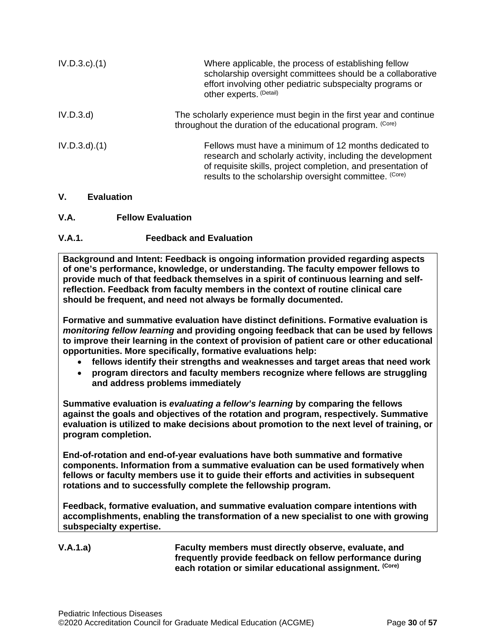| $IV.D.3.c$ . $(1)$ | Where applicable, the process of establishing fellow<br>scholarship oversight committees should be a collaborative<br>effort involving other pediatric subspecialty programs or<br>other experts. (Detail)                                    |
|--------------------|-----------------------------------------------------------------------------------------------------------------------------------------------------------------------------------------------------------------------------------------------|
| IV.D.3.d           | The scholarly experience must begin in the first year and continue<br>throughout the duration of the educational program. (Core)                                                                                                              |
| $IV.D.3.d$ $(1)$   | Fellows must have a minimum of 12 months dedicated to<br>research and scholarly activity, including the development<br>of requisite skills, project completion, and presentation of<br>results to the scholarship oversight committee. (Core) |

## <span id="page-29-0"></span>**V. Evaluation**

## <span id="page-29-1"></span>**V.A. Fellow Evaluation**

## **V.A.1. Feedback and Evaluation**

**Background and Intent: Feedback is ongoing information provided regarding aspects of one's performance, knowledge, or understanding. The faculty empower fellows to provide much of that feedback themselves in a spirit of continuous learning and selfreflection. Feedback from faculty members in the context of routine clinical care should be frequent, and need not always be formally documented.**

**Formative and summative evaluation have distinct definitions. Formative evaluation is**  *monitoring fellow learning* **and providing ongoing feedback that can be used by fellows to improve their learning in the context of provision of patient care or other educational opportunities. More specifically, formative evaluations help:**

- **fellows identify their strengths and weaknesses and target areas that need work**
- **program directors and faculty members recognize where fellows are struggling and address problems immediately**

**Summative evaluation is** *evaluating a fellow's learning* **by comparing the fellows against the goals and objectives of the rotation and program, respectively. Summative evaluation is utilized to make decisions about promotion to the next level of training, or program completion.**

**End-of-rotation and end-of-year evaluations have both summative and formative components. Information from a summative evaluation can be used formatively when fellows or faculty members use it to guide their efforts and activities in subsequent rotations and to successfully complete the fellowship program.**

**Feedback, formative evaluation, and summative evaluation compare intentions with accomplishments, enabling the transformation of a new specialist to one with growing subspecialty expertise.** 

**V.A.1.a) Faculty members must directly observe, evaluate, and frequently provide feedback on fellow performance during each rotation or similar educational assignment. (Core)**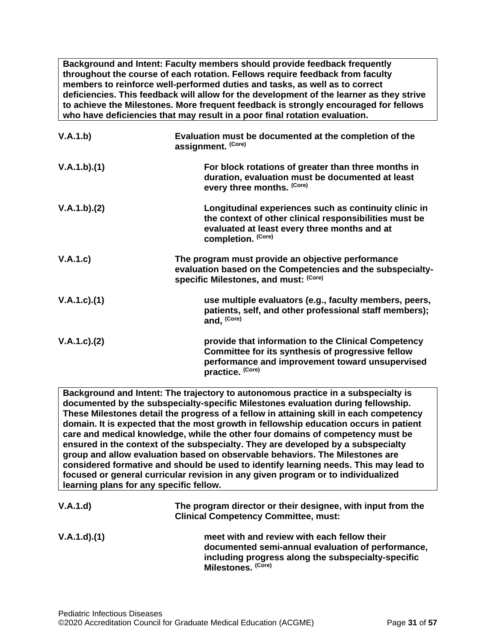**Background and Intent: Faculty members should provide feedback frequently throughout the course of each rotation. Fellows require feedback from faculty members to reinforce well-performed duties and tasks, as well as to correct deficiencies. This feedback will allow for the development of the learner as they strive to achieve the Milestones. More frequent feedback is strongly encouraged for fellows who have deficiencies that may result in a poor final rotation evaluation.**

| V.A.1.b)      | Evaluation must be documented at the completion of the<br>assignment. (Core)                                                                                                          |
|---------------|---------------------------------------------------------------------------------------------------------------------------------------------------------------------------------------|
| V.A.1.b)(1)   | For block rotations of greater than three months in<br>duration, evaluation must be documented at least<br>every three months. (Core)                                                 |
| V.A.1.b)(2)   | Longitudinal experiences such as continuity clinic in<br>the context of other clinical responsibilities must be<br>evaluated at least every three months and at<br>completion. (Core) |
| V.A.1.c)      | The program must provide an objective performance<br>evaluation based on the Competencies and the subspecialty-<br>specific Milestones, and must: (Core)                              |
| V.A.1.c)(1)   | use multiple evaluators (e.g., faculty members, peers,<br>patients, self, and other professional staff members);<br>and, (Core)                                                       |
| V.A.1.c). (2) | provide that information to the Clinical Competency<br>Committee for its synthesis of progressive fellow<br>performance and improvement toward unsupervised<br>practice. (Core)       |

**Background and Intent: The trajectory to autonomous practice in a subspecialty is documented by the subspecialty-specific Milestones evaluation during fellowship. These Milestones detail the progress of a fellow in attaining skill in each competency domain. It is expected that the most growth in fellowship education occurs in patient care and medical knowledge, while the other four domains of competency must be ensured in the context of the subspecialty. They are developed by a subspecialty group and allow evaluation based on observable behaviors. The Milestones are considered formative and should be used to identify learning needs. This may lead to focused or general curricular revision in any given program or to individualized learning plans for any specific fellow.**

| V.A.1.d)    | The program director or their designee, with input from the<br><b>Clinical Competency Committee, must:</b>                                                                   |  |
|-------------|------------------------------------------------------------------------------------------------------------------------------------------------------------------------------|--|
| V.A.1.d)(1) | meet with and review with each fellow their<br>documented semi-annual evaluation of performance,<br>including progress along the subspecialty-specific<br>Milestones. (Core) |  |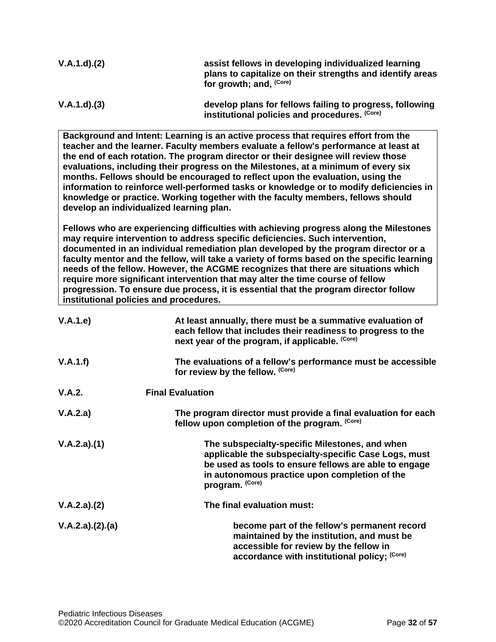| V.A.1.d)(2) | assist fellows in developing individualized learning<br>plans to capitalize on their strengths and identify areas<br>for growth; and, <sup>(Core)</sup> |
|-------------|---------------------------------------------------------------------------------------------------------------------------------------------------------|
| V.A.1.d)(3) | develop plans for fellows failing to progress, following<br>institutional policies and procedures. (Core)                                               |

**Background and Intent: Learning is an active process that requires effort from the teacher and the learner. Faculty members evaluate a fellow's performance at least at the end of each rotation. The program director or their designee will review those evaluations, including their progress on the Milestones, at a minimum of every six months. Fellows should be encouraged to reflect upon the evaluation, using the information to reinforce well-performed tasks or knowledge or to modify deficiencies in knowledge or practice. Working together with the faculty members, fellows should develop an individualized learning plan.**

**Fellows who are experiencing difficulties with achieving progress along the Milestones may require intervention to address specific deficiencies. Such intervention, documented in an individual remediation plan developed by the program director or a faculty mentor and the fellow, will take a variety of forms based on the specific learning needs of the fellow. However, the ACGME recognizes that there are situations which require more significant intervention that may alter the time course of fellow progression. To ensure due process, it is essential that the program director follow institutional policies and procedures.**

| V.A.1.e)        | At least annually, there must be a summative evaluation of<br>each fellow that includes their readiness to progress to the<br>next year of the program, if applicable. (Core)                                                       |  |
|-----------------|-------------------------------------------------------------------------------------------------------------------------------------------------------------------------------------------------------------------------------------|--|
| V.A.1.f)        | The evaluations of a fellow's performance must be accessible<br>for review by the fellow. (Core)                                                                                                                                    |  |
| V.A.2.          | <b>Final Evaluation</b>                                                                                                                                                                                                             |  |
| V.A.2.a)        | The program director must provide a final evaluation for each<br>fellow upon completion of the program. (Core)                                                                                                                      |  |
| V.A.2.a)(1)     | The subspecialty-specific Milestones, and when<br>applicable the subspecialty-specific Case Logs, must<br>be used as tools to ensure fellows are able to engage<br>in autonomous practice upon completion of the<br>program. (Core) |  |
| V.A.2.a)(2)     | The final evaluation must:                                                                                                                                                                                                          |  |
| V.A.2.a)(2).(a) | become part of the fellow's permanent record<br>maintained by the institution, and must be<br>accessible for review by the fellow in<br>accordance with institutional policy; (Core)                                                |  |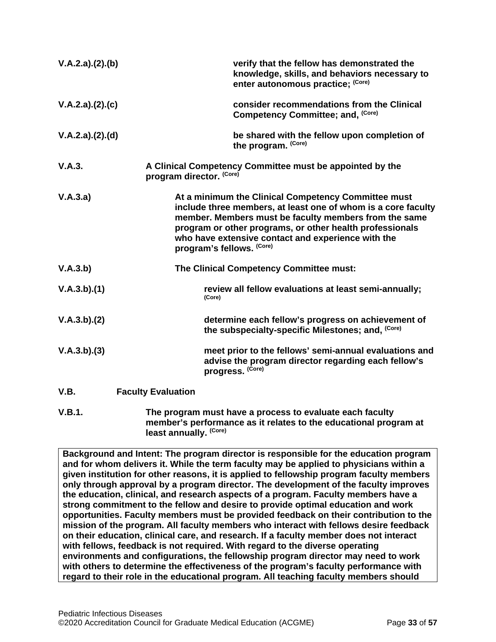| V.A.2.a)(2).(b) |                           | verify that the fellow has demonstrated the<br>knowledge, skills, and behaviors necessary to<br>enter autonomous practice; (Core)                                                                                                                                                                                            |
|-----------------|---------------------------|------------------------------------------------------------------------------------------------------------------------------------------------------------------------------------------------------------------------------------------------------------------------------------------------------------------------------|
| V.A.2.a)(2).(c) |                           | consider recommendations from the Clinical<br>Competency Committee; and, (Core)                                                                                                                                                                                                                                              |
| V.A.2.a)(2).(d) |                           | be shared with the fellow upon completion of<br>the program. (Core)                                                                                                                                                                                                                                                          |
| V.A.3.          | program director. (Core)  | A Clinical Competency Committee must be appointed by the                                                                                                                                                                                                                                                                     |
| V.A.3.a)        |                           | At a minimum the Clinical Competency Committee must<br>include three members, at least one of whom is a core faculty<br>member. Members must be faculty members from the same<br>program or other programs, or other health professionals<br>who have extensive contact and experience with the<br>program's fellows. (Core) |
| V.A.3.b)        |                           | The Clinical Competency Committee must:                                                                                                                                                                                                                                                                                      |
| V.A.3.b)(1)     |                           | review all fellow evaluations at least semi-annually;<br>(Core)                                                                                                                                                                                                                                                              |
| V.A.3.b)(2)     |                           | determine each fellow's progress on achievement of<br>the subspecialty-specific Milestones; and, (Core)                                                                                                                                                                                                                      |
| V.A.3.b)(3)     |                           | meet prior to the fellows' semi-annual evaluations and<br>advise the program director regarding each fellow's<br>progress. (Core)                                                                                                                                                                                            |
| V.B.            | <b>Faculty Evaluation</b> |                                                                                                                                                                                                                                                                                                                              |
|                 |                           |                                                                                                                                                                                                                                                                                                                              |

<span id="page-32-0"></span>**V.B.1. The program must have a process to evaluate each faculty member's performance as it relates to the educational program at least annually. (Core)**

**Background and Intent: The program director is responsible for the education program and for whom delivers it. While the term faculty may be applied to physicians within a given institution for other reasons, it is applied to fellowship program faculty members only through approval by a program director. The development of the faculty improves the education, clinical, and research aspects of a program. Faculty members have a strong commitment to the fellow and desire to provide optimal education and work opportunities. Faculty members must be provided feedback on their contribution to the mission of the program. All faculty members who interact with fellows desire feedback on their education, clinical care, and research. If a faculty member does not interact with fellows, feedback is not required. With regard to the diverse operating environments and configurations, the fellowship program director may need to work with others to determine the effectiveness of the program's faculty performance with regard to their role in the educational program. All teaching faculty members should**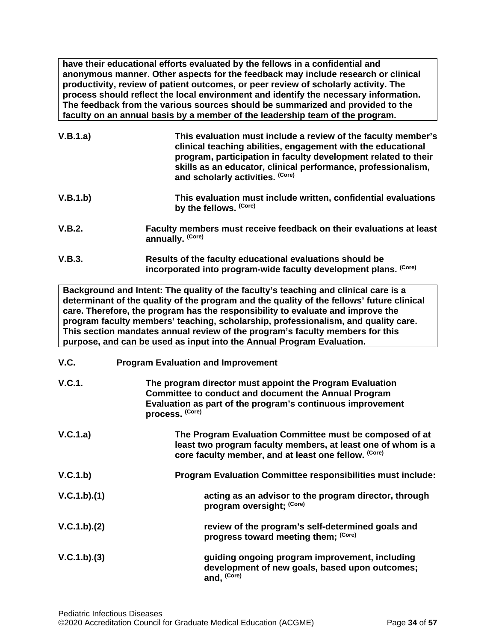**have their educational efforts evaluated by the fellows in a confidential and anonymous manner. Other aspects for the feedback may include research or clinical productivity, review of patient outcomes, or peer review of scholarly activity. The process should reflect the local environment and identify the necessary information. The feedback from the various sources should be summarized and provided to the faculty on an annual basis by a member of the leadership team of the program.**

| V.B.1.a) | This evaluation must include a review of the faculty member's<br>clinical teaching abilities, engagement with the educational<br>program, participation in faculty development related to their<br>skills as an educator, clinical performance, professionalism,<br>and scholarly activities. (Core) |
|----------|------------------------------------------------------------------------------------------------------------------------------------------------------------------------------------------------------------------------------------------------------------------------------------------------------|
| V.B.1.b) | This evaluation must include written, confidential evaluations<br>by the fellows. (Core)                                                                                                                                                                                                             |
| V.B.2.   | Faculty members must receive feedback on their evaluations at least<br>annually. (Core)                                                                                                                                                                                                              |

**V.B.3. Results of the faculty educational evaluations should be incorporated into program-wide faculty development plans. (Core)**

**Background and Intent: The quality of the faculty's teaching and clinical care is a determinant of the quality of the program and the quality of the fellows' future clinical care. Therefore, the program has the responsibility to evaluate and improve the program faculty members' teaching, scholarship, professionalism, and quality care. This section mandates annual review of the program's faculty members for this purpose, and can be used as input into the Annual Program Evaluation.**

## <span id="page-33-0"></span>**V.C. Program Evaluation and Improvement**

| V.C.1.      | The program director must appoint the Program Evaluation<br><b>Committee to conduct and document the Annual Program</b><br>Evaluation as part of the program's continuous improvement<br>process. (Core) |
|-------------|----------------------------------------------------------------------------------------------------------------------------------------------------------------------------------------------------------|
| V.C.1.a)    | The Program Evaluation Committee must be composed of at<br>least two program faculty members, at least one of whom is a<br>core faculty member, and at least one fellow. (Core)                          |
| V.C.1.b)    | <b>Program Evaluation Committee responsibilities must include:</b>                                                                                                                                       |
| V.C.1.b)(1) | acting as an advisor to the program director, through<br>program oversight; (Core)                                                                                                                       |
| V.C.1.b)(2) | review of the program's self-determined goals and<br>progress toward meeting them; (Core)                                                                                                                |
| V.C.1.b)(3) | guiding ongoing program improvement, including<br>development of new goals, based upon outcomes;<br>and, (Core)                                                                                          |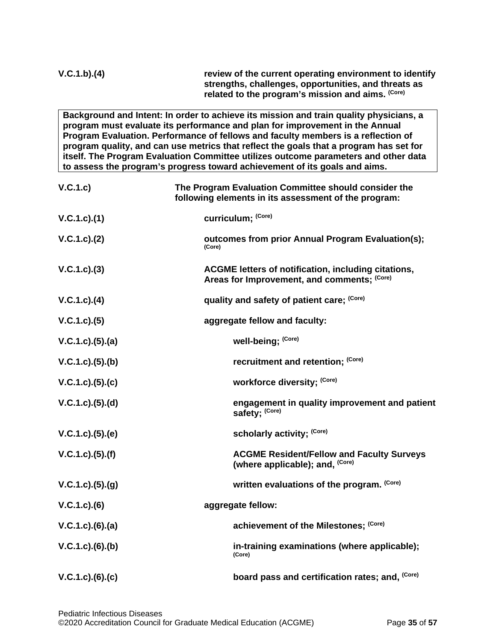**Background and Intent: In order to achieve its mission and train quality physicians, a program must evaluate its performance and plan for improvement in the Annual Program Evaluation. Performance of fellows and faculty members is a reflection of program quality, and can use metrics that reflect the goals that a program has set for itself. The Program Evaluation Committee utilizes outcome parameters and other data to assess the program's progress toward achievement of its goals and aims.**

| V.C.1.c)            | The Program Evaluation Committee should consider the<br>following elements in its assessment of the program: |
|---------------------|--------------------------------------------------------------------------------------------------------------|
| V.C.1.c).(1)        | curriculum; (Core)                                                                                           |
| V.C.1.c). (2)       | outcomes from prior Annual Program Evaluation(s);<br>(Core)                                                  |
| $V.C.1.c).$ (3)     | ACGME letters of notification, including citations,<br>Areas for Improvement, and comments; (Core)           |
| $V.C.1.c).$ (4)     | quality and safety of patient care; (Core)                                                                   |
| V.C.1.c). (5)       | aggregate fellow and faculty:                                                                                |
| $V.C.1.c).$ (5).(a) | well-being; (Core)                                                                                           |
| V.C.1.c. (5). (b)   | recruitment and retention; (Core)                                                                            |
| V.C.1.c. (5). (c)   | workforce diversity; (Core)                                                                                  |
| $V.C.1.c).$ (5).(d) | engagement in quality improvement and patient<br>safety; (Core)                                              |
| V.C.1.c). (5). (e)  | scholarly activity; (Core)                                                                                   |
| V.C.1.c. (5). (f)   | <b>ACGME Resident/Fellow and Faculty Surveys</b><br>(where applicable); and, (Core)                          |
| V.C.1.c. (5). (g)   | written evaluations of the program. (Core)                                                                   |
| $V.C.1.c).$ (6)     | aggregate fellow:                                                                                            |
| $V.C.1.c.$ (6).(a)  | achievement of the Milestones; (Core)                                                                        |
| $V.C.1.c.$ (6).(b)  | in-training examinations (where applicable);<br>(Core)                                                       |
| $V.C.1.c.$ (6).(c)  | board pass and certification rates; and, (Core)                                                              |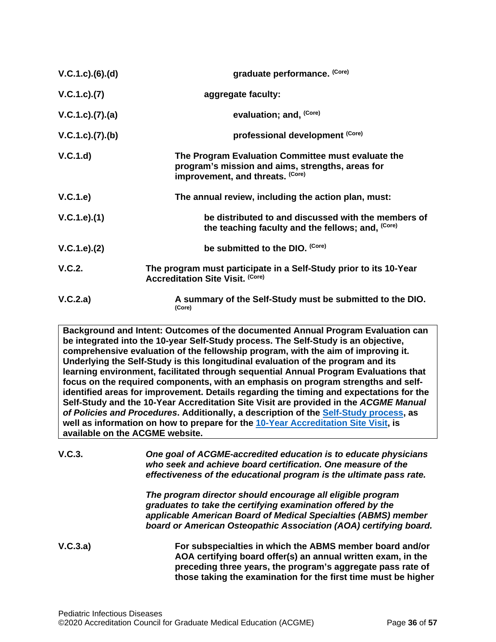| $V.C.1.c).$ $(6).$ $(d)$ | graduate performance. (Core)                                                                                                               |
|--------------------------|--------------------------------------------------------------------------------------------------------------------------------------------|
| V.C.1.c). (7)            | aggregate faculty:                                                                                                                         |
| $V.C.1.c.$ (7).(a)       | evaluation; and, <sup>(Core)</sup>                                                                                                         |
| V.C.1.c. (7). (b)        | professional development (Core)                                                                                                            |
| V.C.1.d)                 | The Program Evaluation Committee must evaluate the<br>program's mission and aims, strengths, areas for<br>improvement, and threats. (Core) |
| V.C.1.e)                 | The annual review, including the action plan, must:                                                                                        |
| V.C.1.e).(1)             | be distributed to and discussed with the members of<br>the teaching faculty and the fellows; and, (Core)                                   |
| V.C.1.e). (2)            | be submitted to the DIO. (Core)                                                                                                            |
| V.C.2.                   | The program must participate in a Self-Study prior to its 10-Year<br><b>Accreditation Site Visit. (Core)</b>                               |
| V.C.2.a)                 | A summary of the Self-Study must be submitted to the DIO.<br>(Core)                                                                        |

**Background and Intent: Outcomes of the documented Annual Program Evaluation can be integrated into the 10-year Self-Study process. The Self-Study is an objective, comprehensive evaluation of the fellowship program, with the aim of improving it. Underlying the Self-Study is this longitudinal evaluation of the program and its learning environment, facilitated through sequential Annual Program Evaluations that focus on the required components, with an emphasis on program strengths and selfidentified areas for improvement. Details regarding the timing and expectations for the Self-Study and the 10-Year Accreditation Site Visit are provided in the** *ACGME Manual of Policies and Procedures***. Additionally, a description of the [Self-Study process,](http://acgme.org/What-We-Do/Accreditation/Self-Study) as well as information on how to prepare for the [10-Year Accreditation Site Visit,](http://www.acgme.org/What-We-Do/Accreditation/Site-Visit/Eight-Steps-to-Prepare-for-the-10-Year-Accreditation-Site-Visit) is available on the ACGME website.**

**V.C.3.** *One goal of ACGME-accredited education is to educate physicians who seek and achieve board certification. One measure of the effectiveness of the educational program is the ultimate pass rate.*

> *The program director should encourage all eligible program graduates to take the certifying examination offered by the applicable American Board of Medical Specialties (ABMS) member board or American Osteopathic Association (AOA) certifying board.*

**V.C.3.a) For subspecialties in which the ABMS member board and/or AOA certifying board offer(s) an annual written exam, in the preceding three years, the program's aggregate pass rate of those taking the examination for the first time must be higher**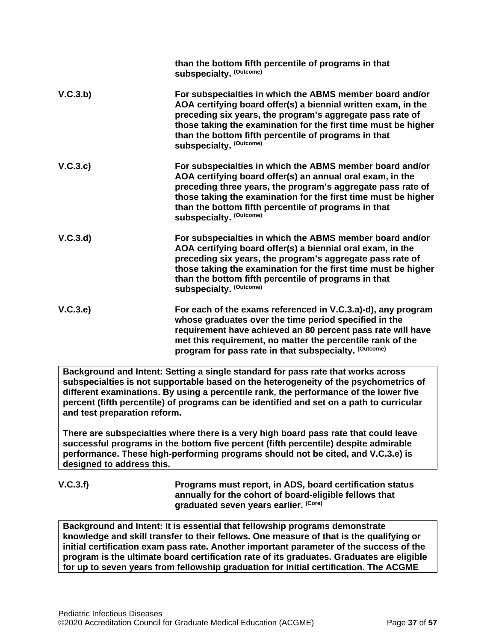|          | than the bottom fifth percentile of programs in that<br>subspecialty. (Outcome)                                                                                                                                                                                                                                                                  |
|----------|--------------------------------------------------------------------------------------------------------------------------------------------------------------------------------------------------------------------------------------------------------------------------------------------------------------------------------------------------|
| V.C.3.b) | For subspecialties in which the ABMS member board and/or<br>AOA certifying board offer(s) a biennial written exam, in the<br>preceding six years, the program's aggregate pass rate of<br>those taking the examination for the first time must be higher<br>than the bottom fifth percentile of programs in that<br>subspecialty. (Outcome)      |
| V.C.3.c) | For subspecialties in which the ABMS member board and/or<br>AOA certifying board offer(s) an annual oral exam, in the<br>preceding three years, the program's aggregate pass rate of<br>those taking the examination for the first time must be higher<br>than the bottom fifth percentile of programs in that<br><b>subspecialty. (Outcome)</b> |
| V.C.3.d  | For subspecialties in which the ABMS member board and/or<br>AOA certifying board offer(s) a biennial oral exam, in the<br>preceding six years, the program's aggregate pass rate of<br>those taking the examination for the first time must be higher<br>than the bottom fifth percentile of programs in that<br><b>subspecialty. (Outcome)</b>  |
| V.C.3.e) | For each of the exams referenced in V.C.3.a)-d), any program<br>whose graduates over the time period specified in the<br>requirement have achieved an 80 percent pass rate will have<br>met this requirement, no matter the percentile rank of the<br>program for pass rate in that subspecialty. (Outcome)                                      |

**Background and Intent: Setting a single standard for pass rate that works across subspecialties is not supportable based on the heterogeneity of the psychometrics of different examinations. By using a percentile rank, the performance of the lower five percent (fifth percentile) of programs can be identified and set on a path to curricular and test preparation reform.**

**There are subspecialties where there is a very high board pass rate that could leave successful programs in the bottom five percent (fifth percentile) despite admirable performance. These high-performing programs should not be cited, and V.C.3.e) is designed to address this.**

**V.C.3.f) Programs must report, in ADS, board certification status annually for the cohort of board-eligible fellows that graduated seven years earlier. (Core)**

**Background and Intent: It is essential that fellowship programs demonstrate knowledge and skill transfer to their fellows. One measure of that is the qualifying or initial certification exam pass rate. Another important parameter of the success of the program is the ultimate board certification rate of its graduates. Graduates are eligible for up to seven years from fellowship graduation for initial certification. The ACGME**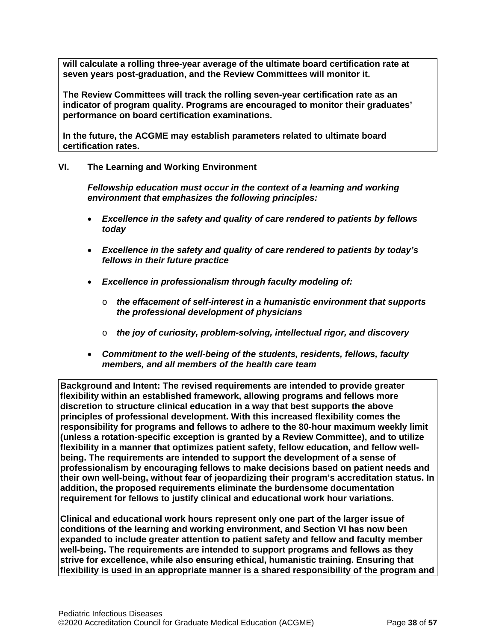**will calculate a rolling three-year average of the ultimate board certification rate at seven years post-graduation, and the Review Committees will monitor it.**

**The Review Committees will track the rolling seven-year certification rate as an indicator of program quality. Programs are encouraged to monitor their graduates' performance on board certification examinations.**

**In the future, the ACGME may establish parameters related to ultimate board certification rates.**

## <span id="page-37-0"></span>**VI. The Learning and Working Environment**

*Fellowship education must occur in the context of a learning and working environment that emphasizes the following principles:*

- *Excellence in the safety and quality of care rendered to patients by fellows today*
- *Excellence in the safety and quality of care rendered to patients by today's fellows in their future practice*
- *Excellence in professionalism through faculty modeling of:*
	- o *the effacement of self-interest in a humanistic environment that supports the professional development of physicians*
	- o *the joy of curiosity, problem-solving, intellectual rigor, and discovery*
- *Commitment to the well-being of the students, residents, fellows, faculty members, and all members of the health care team*

**Background and Intent: The revised requirements are intended to provide greater flexibility within an established framework, allowing programs and fellows more discretion to structure clinical education in a way that best supports the above principles of professional development. With this increased flexibility comes the responsibility for programs and fellows to adhere to the 80-hour maximum weekly limit (unless a rotation-specific exception is granted by a Review Committee), and to utilize flexibility in a manner that optimizes patient safety, fellow education, and fellow wellbeing. The requirements are intended to support the development of a sense of professionalism by encouraging fellows to make decisions based on patient needs and their own well-being, without fear of jeopardizing their program's accreditation status. In addition, the proposed requirements eliminate the burdensome documentation requirement for fellows to justify clinical and educational work hour variations.**

**Clinical and educational work hours represent only one part of the larger issue of conditions of the learning and working environment, and Section VI has now been expanded to include greater attention to patient safety and fellow and faculty member well-being. The requirements are intended to support programs and fellows as they strive for excellence, while also ensuring ethical, humanistic training. Ensuring that flexibility is used in an appropriate manner is a shared responsibility of the program and**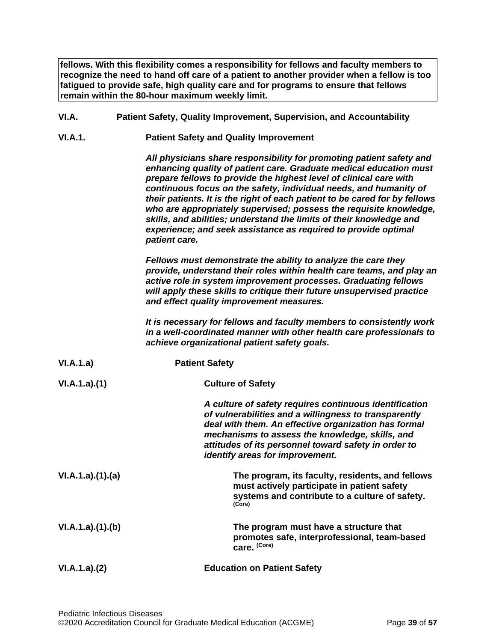**fellows. With this flexibility comes a responsibility for fellows and faculty members to recognize the need to hand off care of a patient to another provider when a fellow is too fatigued to provide safe, high quality care and for programs to ensure that fellows remain within the 80-hour maximum weekly limit.**

- <span id="page-38-0"></span>**VI.A. Patient Safety, Quality Improvement, Supervision, and Accountability**
- **VI.A.1. Patient Safety and Quality Improvement**

*All physicians share responsibility for promoting patient safety and enhancing quality of patient care. Graduate medical education must prepare fellows to provide the highest level of clinical care with continuous focus on the safety, individual needs, and humanity of their patients. It is the right of each patient to be cared for by fellows who are appropriately supervised; possess the requisite knowledge, skills, and abilities; understand the limits of their knowledge and experience; and seek assistance as required to provide optimal patient care.*

*Fellows must demonstrate the ability to analyze the care they provide, understand their roles within health care teams, and play an active role in system improvement processes. Graduating fellows will apply these skills to critique their future unsupervised practice and effect quality improvement measures.*

*It is necessary for fellows and faculty members to consistently work in a well-coordinated manner with other health care professionals to achieve organizational patient safety goals.*

**VI.A.1.a) Patient Safety VI.A.1.a).(1) Culture of Safety** *A culture of safety requires continuous identification of vulnerabilities and a willingness to transparently deal with them. An effective organization has formal mechanisms to assess the knowledge, skills, and attitudes of its personnel toward safety in order to identify areas for improvement.* **VI.A.1.a).(1).(a) The program, its faculty, residents, and fellows must actively participate in patient safety systems and contribute to a culture of safety. (Core) VI.A.1.a).(1).(b) The program must have a structure that promotes safe, interprofessional, team-based care. (Core) VI.A.1.a).(2) Education on Patient Safety**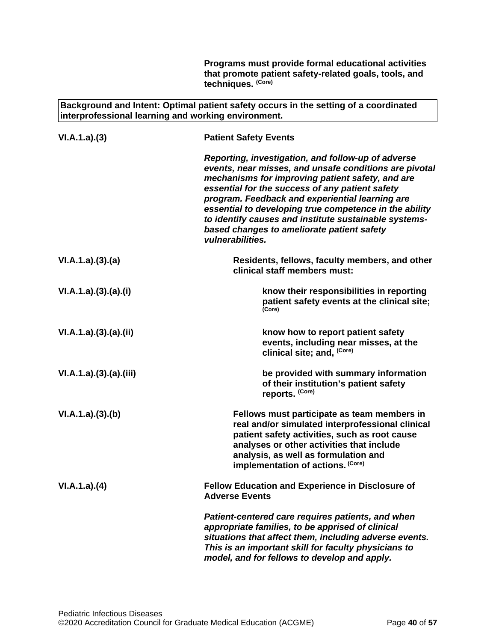**Programs must provide formal educational activities that promote patient safety-related goals, tools, and techniques. (Core)**

**Background and Intent: Optimal patient safety occurs in the setting of a coordinated interprofessional learning and working environment.**

| VI.A.1.a)(3)         | <b>Patient Safety Events</b>                                                                                                                                                                                                                                                                                                                                                                                                                                |
|----------------------|-------------------------------------------------------------------------------------------------------------------------------------------------------------------------------------------------------------------------------------------------------------------------------------------------------------------------------------------------------------------------------------------------------------------------------------------------------------|
|                      | Reporting, investigation, and follow-up of adverse<br>events, near misses, and unsafe conditions are pivotal<br>mechanisms for improving patient safety, and are<br>essential for the success of any patient safety<br>program. Feedback and experiential learning are<br>essential to developing true competence in the ability<br>to identify causes and institute sustainable systems-<br>based changes to ameliorate patient safety<br>vulnerabilities. |
| VI.A.1.a)(3)(a)      | Residents, fellows, faculty members, and other<br>clinical staff members must:                                                                                                                                                                                                                                                                                                                                                                              |
| VI.A.1.a)(3)(a)(i)   | know their responsibilities in reporting<br>patient safety events at the clinical site;<br>(Core)                                                                                                                                                                                                                                                                                                                                                           |
| VI.A.1.a)(3)(a)(ii)  | know how to report patient safety<br>events, including near misses, at the<br>clinical site; and, (Core)                                                                                                                                                                                                                                                                                                                                                    |
| VI.A.1.a)(3)(a)(iii) | be provided with summary information<br>of their institution's patient safety<br>reports. (Core)                                                                                                                                                                                                                                                                                                                                                            |
| VI.A.1.a)(3)(b)      | Fellows must participate as team members in<br>real and/or simulated interprofessional clinical<br>patient safety activities, such as root cause<br>analyses or other activities that include<br>analysis, as well as formulation and<br>implementation of actions. (Core)                                                                                                                                                                                  |
| VI.A.1.a)(4)         | <b>Fellow Education and Experience in Disclosure of</b><br><b>Adverse Events</b>                                                                                                                                                                                                                                                                                                                                                                            |
|                      | Patient-centered care requires patients, and when<br>appropriate families, to be apprised of clinical<br>situations that affect them, including adverse events.<br>This is an important skill for faculty physicians to<br>model, and for fellows to develop and apply.                                                                                                                                                                                     |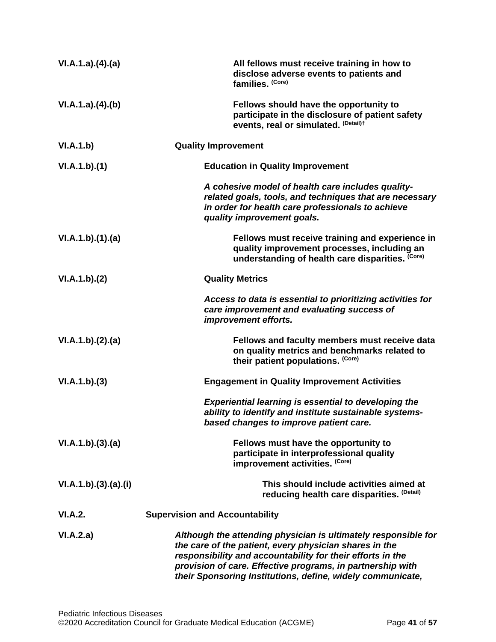| VI.A.1.a)(4)(a)      | All fellows must receive training in how to<br>disclose adverse events to patients and<br>families. (Core)                                                                                                                                                                                                         |
|----------------------|--------------------------------------------------------------------------------------------------------------------------------------------------------------------------------------------------------------------------------------------------------------------------------------------------------------------|
| VI.A.1.a)(4)(b)      | Fellows should have the opportunity to<br>participate in the disclosure of patient safety<br>events, real or simulated. (Detail)t                                                                                                                                                                                  |
| VI.A.1.b)            | <b>Quality Improvement</b>                                                                                                                                                                                                                                                                                         |
| VI.A.1.b)(1)         | <b>Education in Quality Improvement</b>                                                                                                                                                                                                                                                                            |
|                      | A cohesive model of health care includes quality-<br>related goals, tools, and techniques that are necessary<br>in order for health care professionals to achieve<br>quality improvement goals.                                                                                                                    |
| VI.A.1.b)(1)(a)      | Fellows must receive training and experience in<br>quality improvement processes, including an<br>understanding of health care disparities. (Core)                                                                                                                                                                 |
| VI.A.1.b)(2)         | <b>Quality Metrics</b>                                                                                                                                                                                                                                                                                             |
|                      | Access to data is essential to prioritizing activities for<br>care improvement and evaluating success of<br>improvement efforts.                                                                                                                                                                                   |
| VI.A.1.b)(2).(a)     | Fellows and faculty members must receive data<br>on quality metrics and benchmarks related to<br>their patient populations. (Core)                                                                                                                                                                                 |
| VI.A.1.b)(3)         | <b>Engagement in Quality Improvement Activities</b>                                                                                                                                                                                                                                                                |
|                      | <b>Experiential learning is essential to developing the</b><br>ability to identify and institute sustainable systems-<br>based changes to improve patient care.                                                                                                                                                    |
| VI.A.1.b)(3).(a)     | Fellows must have the opportunity to<br>participate in interprofessional quality<br>improvement activities. (Core)                                                                                                                                                                                                 |
| VI.A.1.b)(3).(a).(i) | This should include activities aimed at<br>reducing health care disparities. (Detail)                                                                                                                                                                                                                              |
| VI.A.2.              | <b>Supervision and Accountability</b>                                                                                                                                                                                                                                                                              |
| VI.A.2.a)            | Although the attending physician is ultimately responsible for<br>the care of the patient, every physician shares in the<br>responsibility and accountability for their efforts in the<br>provision of care. Effective programs, in partnership with<br>their Sponsoring Institutions, define, widely communicate, |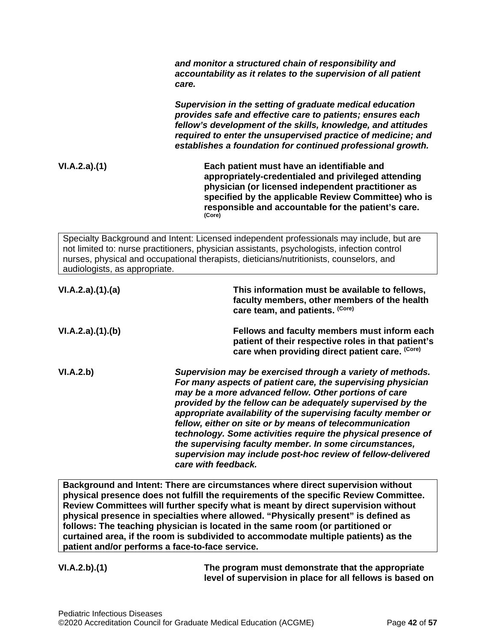*and monitor a structured chain of responsibility and accountability as it relates to the supervision of all patient care.*

*Supervision in the setting of graduate medical education provides safe and effective care to patients; ensures each fellow's development of the skills, knowledge, and attitudes required to enter the unsupervised practice of medicine; and establishes a foundation for continued professional growth.*

**VI.A.2.a).(1) Each patient must have an identifiable and appropriately-credentialed and privileged attending physician (or licensed independent practitioner as specified by the applicable Review Committee) who is responsible and accountable for the patient's care. (Core)**

Specialty Background and Intent: Licensed independent professionals may include, but are not limited to: nurse practitioners, physician assistants, psychologists, infection control nurses, physical and occupational therapists, dieticians/nutritionists, counselors, and audiologists, as appropriate.

| VI.A.2.a)(1)(a) | This information must be available to fellows,<br>faculty members, other members of the health<br>care team, and patients. (Core)                                                                                                                                                                                                                                                                                                                                                                                                                                                            |
|-----------------|----------------------------------------------------------------------------------------------------------------------------------------------------------------------------------------------------------------------------------------------------------------------------------------------------------------------------------------------------------------------------------------------------------------------------------------------------------------------------------------------------------------------------------------------------------------------------------------------|
| VI.A.2.a)(1)(b) | Fellows and faculty members must inform each<br>patient of their respective roles in that patient's<br>care when providing direct patient care. (Core)                                                                                                                                                                                                                                                                                                                                                                                                                                       |
| VI.A.2.b)       | Supervision may be exercised through a variety of methods.<br>For many aspects of patient care, the supervising physician<br>may be a more advanced fellow. Other portions of care<br>provided by the fellow can be adequately supervised by the<br>appropriate availability of the supervising faculty member or<br>fellow, either on site or by means of telecommunication<br>technology. Some activities require the physical presence of<br>the supervising faculty member. In some circumstances,<br>supervision may include post-hoc review of fellow-delivered<br>care with feedback. |

**Background and Intent: There are circumstances where direct supervision without physical presence does not fulfill the requirements of the specific Review Committee. Review Committees will further specify what is meant by direct supervision without physical presence in specialties where allowed. "Physically present" is defined as follows: The teaching physician is located in the same room (or partitioned or curtained area, if the room is subdivided to accommodate multiple patients) as the patient and/or performs a face-to-face service.**

**VI.A.2.b).(1) The program must demonstrate that the appropriate level of supervision in place for all fellows is based on**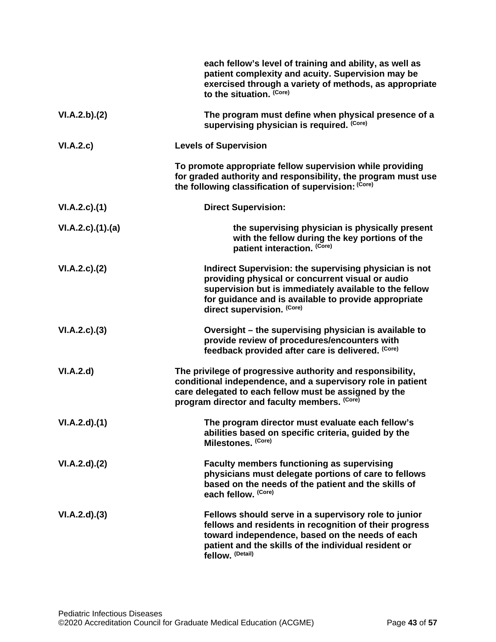|                    | each fellow's level of training and ability, as well as<br>patient complexity and acuity. Supervision may be<br>exercised through a variety of methods, as appropriate<br>to the situation. (Core)                                                         |
|--------------------|------------------------------------------------------------------------------------------------------------------------------------------------------------------------------------------------------------------------------------------------------------|
| VI.A.2.b)(2)       | The program must define when physical presence of a<br>supervising physician is required. (Core)                                                                                                                                                           |
| VI.A.2.c)          | <b>Levels of Supervision</b>                                                                                                                                                                                                                               |
|                    | To promote appropriate fellow supervision while providing<br>for graded authority and responsibility, the program must use<br>the following classification of supervision: (Core)                                                                          |
| $VI.A.2.c$ . $(1)$ | <b>Direct Supervision:</b>                                                                                                                                                                                                                                 |
| VI.A.2.c)(1)(a)    | the supervising physician is physically present<br>with the fellow during the key portions of the<br>patient interaction. (Core)                                                                                                                           |
| VI.A.2.c.2()       | Indirect Supervision: the supervising physician is not<br>providing physical or concurrent visual or audio<br>supervision but is immediately available to the fellow<br>for guidance and is available to provide appropriate<br>direct supervision. (Core) |
| VI.A.2.c.3)        | Oversight - the supervising physician is available to<br>provide review of procedures/encounters with<br>feedback provided after care is delivered. (Core)                                                                                                 |
| VI.A.2.d           | The privilege of progressive authority and responsibility,<br>conditional independence, and a supervisory role in patient<br>care delegated to each fellow must be assigned by the<br>program director and faculty members. (Core)                         |
| VI.A.2.d)(1)       | The program director must evaluate each fellow's<br>abilities based on specific criteria, guided by the<br>Milestones. (Core)                                                                                                                              |
| VI.A.2.d)(2)       | Faculty members functioning as supervising<br>physicians must delegate portions of care to fellows<br>based on the needs of the patient and the skills of<br>each fellow. (Core)                                                                           |
| VI.A.2.d)(3)       | Fellows should serve in a supervisory role to junior<br>fellows and residents in recognition of their progress<br>toward independence, based on the needs of each<br>patient and the skills of the individual resident or<br>fellow. (Detail)              |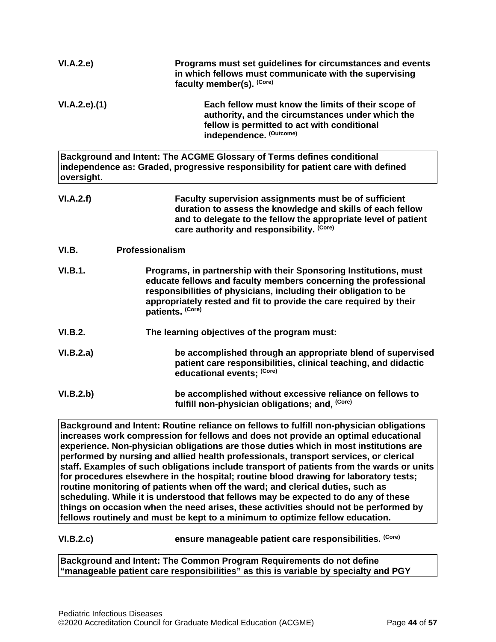| VI.A.2.e)      | Programs must set guidelines for circumstances and events<br>in which fellows must communicate with the supervising<br>faculty member(s). (Core)                                                                                                                                                   |
|----------------|----------------------------------------------------------------------------------------------------------------------------------------------------------------------------------------------------------------------------------------------------------------------------------------------------|
| VI.A.2.e).(1)  | Each fellow must know the limits of their scope of<br>authority, and the circumstances under which the<br>fellow is permitted to act with conditional<br>independence. (Outcome)                                                                                                                   |
| oversight.     | Background and Intent: The ACGME Glossary of Terms defines conditional<br>independence as: Graded, progressive responsibility for patient care with defined                                                                                                                                        |
| VI.A.2.f)      | Faculty supervision assignments must be of sufficient<br>duration to assess the knowledge and skills of each fellow<br>and to delegate to the fellow the appropriate level of patient<br>care authority and responsibility. (Core)                                                                 |
| VI.B.          | Professionalism                                                                                                                                                                                                                                                                                    |
| <b>VI.B.1.</b> | Programs, in partnership with their Sponsoring Institutions, must<br>educate fellows and faculty members concerning the professional<br>responsibilities of physicians, including their obligation to be<br>appropriately rested and fit to provide the care required by their<br>patients. (Core) |
| <b>VI.B.2.</b> | The learning objectives of the program must:                                                                                                                                                                                                                                                       |
| VI.B.2.a)      | be accomplished through an appropriate blend of supervised<br>patient care responsibilities, clinical teaching, and didactic<br>educational events; (Core)                                                                                                                                         |
| VI.B.2.b)      | be accomplished without excessive reliance on fellows to<br>fulfill non-physician obligations; and, (Core)                                                                                                                                                                                         |

<span id="page-43-0"></span>**Background and Intent: Routine reliance on fellows to fulfill non-physician obligations increases work compression for fellows and does not provide an optimal educational experience. Non-physician obligations are those duties which in most institutions are performed by nursing and allied health professionals, transport services, or clerical staff. Examples of such obligations include transport of patients from the wards or units for procedures elsewhere in the hospital; routine blood drawing for laboratory tests; routine monitoring of patients when off the ward; and clerical duties, such as scheduling. While it is understood that fellows may be expected to do any of these things on occasion when the need arises, these activities should not be performed by fellows routinely and must be kept to a minimum to optimize fellow education.**

**VI.B.2.c) ensure manageable patient care responsibilities. (Core)**

**Background and Intent: The Common Program Requirements do not define "manageable patient care responsibilities" as this is variable by specialty and PGY**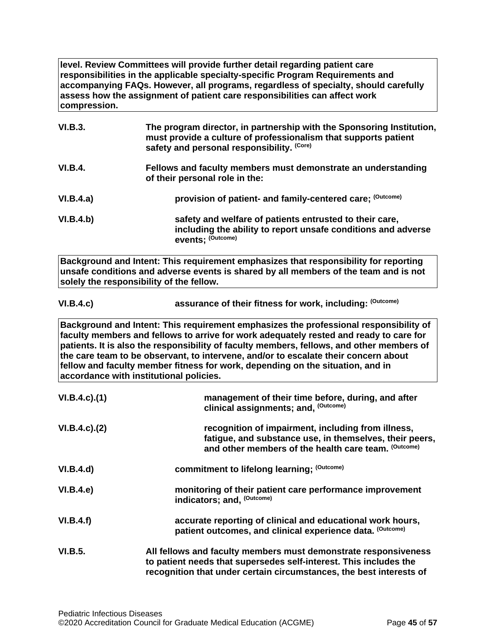**level. Review Committees will provide further detail regarding patient care responsibilities in the applicable specialty-specific Program Requirements and accompanying FAQs. However, all programs, regardless of specialty, should carefully assess how the assignment of patient care responsibilities can affect work compression.**

| <b>VI.B.3.</b> | The program director, in partnership with the Sponsoring Institution,<br>must provide a culture of professionalism that supports patient<br>safety and personal responsibility. (Core) |
|----------------|----------------------------------------------------------------------------------------------------------------------------------------------------------------------------------------|
| VI.B.4.        | Fellows and faculty members must demonstrate an understanding<br>of their personal role in the:                                                                                        |
| VI.B.4.a)      | provision of patient- and family-centered care; (Outcome)                                                                                                                              |
| VI.B.4.b)      | safety and welfare of patients entrusted to their care,<br>including the ability to report unsafe conditions and adverse<br>events: (Outcome)                                          |

**Background and Intent: This requirement emphasizes that responsibility for reporting unsafe conditions and adverse events is shared by all members of the team and is not solely the responsibility of the fellow.**

| VI.B.4.c) | assurance of their fitness for work, including: (Outcome) |
|-----------|-----------------------------------------------------------|
|-----------|-----------------------------------------------------------|

**Background and Intent: This requirement emphasizes the professional responsibility of faculty members and fellows to arrive for work adequately rested and ready to care for patients. It is also the responsibility of faculty members, fellows, and other members of the care team to be observant, to intervene, and/or to escalate their concern about fellow and faculty member fitness for work, depending on the situation, and in accordance with institutional policies.**

| $VI.B.4.c$ ). $(1)$ | management of their time before, during, and after<br>clinical assignments; and, <sup>(Outcome)</sup>                                                                                                       |
|---------------------|-------------------------------------------------------------------------------------------------------------------------------------------------------------------------------------------------------------|
| $VI.B.4.c$ ). $(2)$ | recognition of impairment, including from illness,<br>fatigue, and substance use, in themselves, their peers,<br>and other members of the health care team. (Outcome)                                       |
| VI.B.4.d)           | commitment to lifelong learning; (Outcome)                                                                                                                                                                  |
| VI.B.4.e            | monitoring of their patient care performance improvement<br>indicators; and, (Outcome)                                                                                                                      |
| VI.B.4.f)           | accurate reporting of clinical and educational work hours,<br>patient outcomes, and clinical experience data. (Outcome)                                                                                     |
| VI.B.5.             | All fellows and faculty members must demonstrate responsiveness<br>to patient needs that supersedes self-interest. This includes the<br>recognition that under certain circumstances, the best interests of |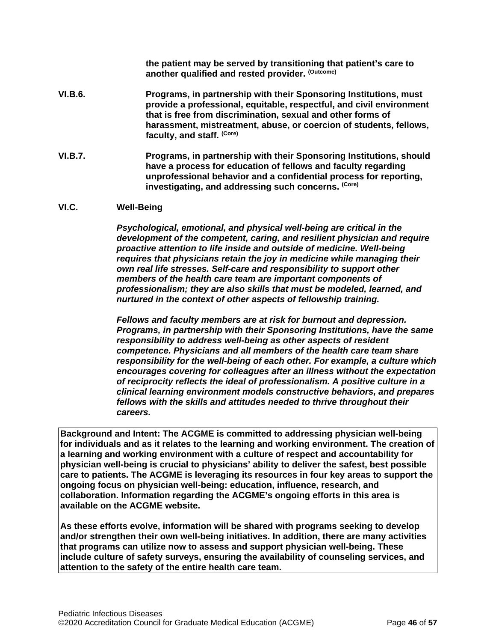**the patient may be served by transitioning that patient's care to another qualified and rested provider. (Outcome)**

- **VI.B.6. Programs, in partnership with their Sponsoring Institutions, must provide a professional, equitable, respectful, and civil environment that is free from discrimination, sexual and other forms of harassment, mistreatment, abuse, or coercion of students, fellows, faculty, and staff. (Core)**
- **VI.B.7. Programs, in partnership with their Sponsoring Institutions, should have a process for education of fellows and faculty regarding unprofessional behavior and a confidential process for reporting, investigating, and addressing such concerns. (Core)**

### <span id="page-45-0"></span>**VI.C. Well-Being**

*Psychological, emotional, and physical well-being are critical in the development of the competent, caring, and resilient physician and require proactive attention to life inside and outside of medicine. Well-being requires that physicians retain the joy in medicine while managing their own real life stresses. Self-care and responsibility to support other members of the health care team are important components of professionalism; they are also skills that must be modeled, learned, and nurtured in the context of other aspects of fellowship training.*

*Fellows and faculty members are at risk for burnout and depression. Programs, in partnership with their Sponsoring Institutions, have the same responsibility to address well-being as other aspects of resident competence. Physicians and all members of the health care team share responsibility for the well-being of each other. For example, a culture which encourages covering for colleagues after an illness without the expectation of reciprocity reflects the ideal of professionalism. A positive culture in a clinical learning environment models constructive behaviors, and prepares fellows with the skills and attitudes needed to thrive throughout their careers.*

**Background and Intent: The ACGME is committed to addressing physician well-being for individuals and as it relates to the learning and working environment. The creation of a learning and working environment with a culture of respect and accountability for physician well-being is crucial to physicians' ability to deliver the safest, best possible care to patients. The ACGME is leveraging its resources in four key areas to support the ongoing focus on physician well-being: education, influence, research, and collaboration. Information regarding the ACGME's ongoing efforts in this area is available on the ACGME website.**

**As these efforts evolve, information will be shared with programs seeking to develop and/or strengthen their own well-being initiatives. In addition, there are many activities that programs can utilize now to assess and support physician well-being. These include culture of safety surveys, ensuring the availability of counseling services, and attention to the safety of the entire health care team.**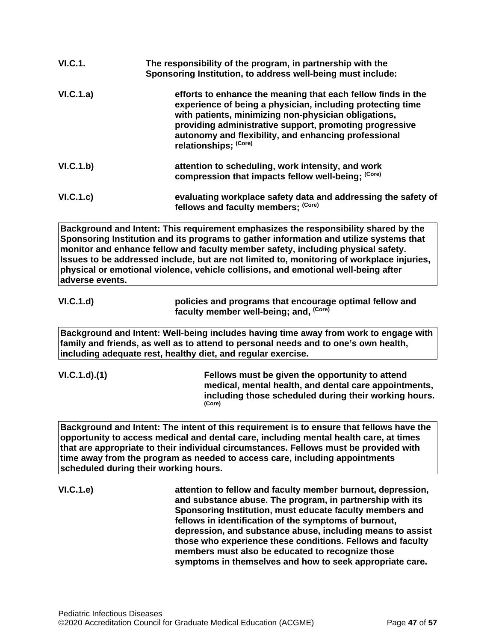| VI.C.1.   | The responsibility of the program, in partnership with the<br>Sponsoring Institution, to address well-being must include:                                                                                                                                                                                                      |
|-----------|--------------------------------------------------------------------------------------------------------------------------------------------------------------------------------------------------------------------------------------------------------------------------------------------------------------------------------|
| VI.C.1.a) | efforts to enhance the meaning that each fellow finds in the<br>experience of being a physician, including protecting time<br>with patients, minimizing non-physician obligations,<br>providing administrative support, promoting progressive<br>autonomy and flexibility, and enhancing professional<br>relationships; (Core) |
| VI.C.1.b) | attention to scheduling, work intensity, and work<br>compression that impacts fellow well-being; (Core)                                                                                                                                                                                                                        |
| VI.C.1.c) | evaluating workplace safety data and addressing the safety of<br>fellows and faculty members; (Core)                                                                                                                                                                                                                           |

**Background and Intent: This requirement emphasizes the responsibility shared by the Sponsoring Institution and its programs to gather information and utilize systems that monitor and enhance fellow and faculty member safety, including physical safety. Issues to be addressed include, but are not limited to, monitoring of workplace injuries, physical or emotional violence, vehicle collisions, and emotional well-being after adverse events.**

**VI.C.1.d) policies and programs that encourage optimal fellow and faculty member well-being; and, (Core)**

**Background and Intent: Well-being includes having time away from work to engage with family and friends, as well as to attend to personal needs and to one's own health, including adequate rest, healthy diet, and regular exercise.**

**VI.C.1.d).(1) Fellows must be given the opportunity to attend medical, mental health, and dental care appointments, including those scheduled during their working hours. (Core)**

**Background and Intent: The intent of this requirement is to ensure that fellows have the opportunity to access medical and dental care, including mental health care, at times that are appropriate to their individual circumstances. Fellows must be provided with time away from the program as needed to access care, including appointments scheduled during their working hours.**

**VI.C.1.e) attention to fellow and faculty member burnout, depression, and substance abuse. The program, in partnership with its Sponsoring Institution, must educate faculty members and fellows in identification of the symptoms of burnout, depression, and substance abuse, including means to assist those who experience these conditions. Fellows and faculty members must also be educated to recognize those symptoms in themselves and how to seek appropriate care.**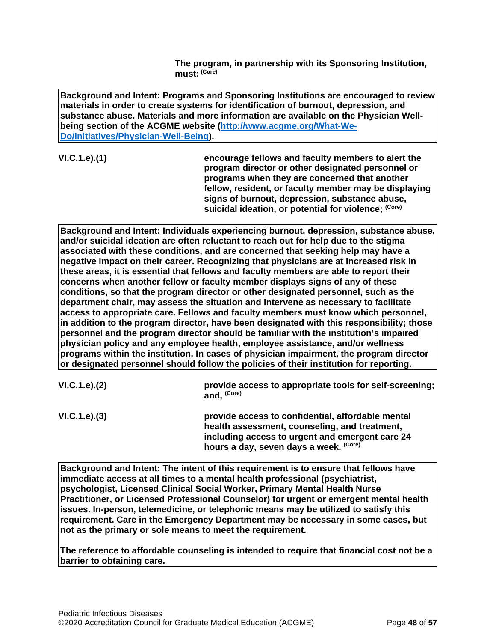**The program, in partnership with its Sponsoring Institution, must: (Core)**

**Background and Intent: Programs and Sponsoring Institutions are encouraged to review materials in order to create systems for identification of burnout, depression, and substance abuse. Materials and more information are available on the Physician Wellbeing section of the ACGME website [\(http://www.acgme.org/What-We-](http://www.acgme.org/What-We-Do/Initiatives/Physician-Well-Being)[Do/Initiatives/Physician-Well-Being\)](http://www.acgme.org/What-We-Do/Initiatives/Physician-Well-Being).**

**VI.C.1.e).(1) encourage fellows and faculty members to alert the program director or other designated personnel or programs when they are concerned that another fellow, resident, or faculty member may be displaying signs of burnout, depression, substance abuse, suicidal ideation, or potential for violence; (Core)**

**Background and Intent: Individuals experiencing burnout, depression, substance abuse, and/or suicidal ideation are often reluctant to reach out for help due to the stigma associated with these conditions, and are concerned that seeking help may have a negative impact on their career. Recognizing that physicians are at increased risk in these areas, it is essential that fellows and faculty members are able to report their concerns when another fellow or faculty member displays signs of any of these conditions, so that the program director or other designated personnel, such as the department chair, may assess the situation and intervene as necessary to facilitate access to appropriate care. Fellows and faculty members must know which personnel, in addition to the program director, have been designated with this responsibility; those personnel and the program director should be familiar with the institution's impaired physician policy and any employee health, employee assistance, and/or wellness programs within the institution. In cases of physician impairment, the program director or designated personnel should follow the policies of their institution for reporting.**

| VI.C.1.e). (2) | provide access to appropriate tools for self-screening; |
|----------------|---------------------------------------------------------|
|                | and. (Core)                                             |

**VI.C.1.e).(3) provide access to confidential, affordable mental health assessment, counseling, and treatment, including access to urgent and emergent care 24 hours a day, seven days a week. (Core)**

**Background and Intent: The intent of this requirement is to ensure that fellows have immediate access at all times to a mental health professional (psychiatrist, psychologist, Licensed Clinical Social Worker, Primary Mental Health Nurse Practitioner, or Licensed Professional Counselor) for urgent or emergent mental health issues. In-person, telemedicine, or telephonic means may be utilized to satisfy this requirement. Care in the Emergency Department may be necessary in some cases, but not as the primary or sole means to meet the requirement.**

**The reference to affordable counseling is intended to require that financial cost not be a barrier to obtaining care.**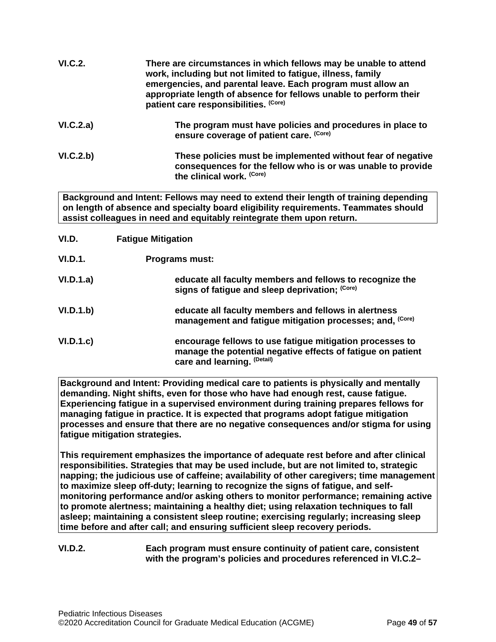| VI.C.2.   | There are circumstances in which fellows may be unable to attend<br>work, including but not limited to fatigue, illness, family<br>emergencies, and parental leave. Each program must allow an<br>appropriate length of absence for fellows unable to perform their<br>patient care responsibilities. (Core) |
|-----------|--------------------------------------------------------------------------------------------------------------------------------------------------------------------------------------------------------------------------------------------------------------------------------------------------------------|
| VI.C.2.a) | The program must have policies and procedures in place to<br>ensure coverage of patient care. (Core)                                                                                                                                                                                                         |
| VI.C.2.b) | These policies must be implemented without fear of negative<br>consequences for the fellow who is or was unable to provide<br>the clinical work. (Core)                                                                                                                                                      |

**Background and Intent: Fellows may need to extend their length of training depending on length of absence and specialty board eligibility requirements. Teammates should assist colleagues in need and equitably reintegrate them upon return.**

- <span id="page-48-0"></span>**VI.D. Fatigue Mitigation**
- **VI.D.1. Programs must:**
- **VI.D.1.a) educate all faculty members and fellows to recognize the signs of fatigue and sleep deprivation; (Core)**
- **VI.D.1.b) educate all faculty members and fellows in alertness management and fatigue mitigation processes; and, (Core)**
- **VI.D.1.c) encourage fellows to use fatigue mitigation processes to manage the potential negative effects of fatigue on patient care and learning. (Detail)**

**Background and Intent: Providing medical care to patients is physically and mentally demanding. Night shifts, even for those who have had enough rest, cause fatigue. Experiencing fatigue in a supervised environment during training prepares fellows for managing fatigue in practice. It is expected that programs adopt fatigue mitigation processes and ensure that there are no negative consequences and/or stigma for using fatigue mitigation strategies.**

**This requirement emphasizes the importance of adequate rest before and after clinical responsibilities. Strategies that may be used include, but are not limited to, strategic napping; the judicious use of caffeine; availability of other caregivers; time management to maximize sleep off-duty; learning to recognize the signs of fatigue, and selfmonitoring performance and/or asking others to monitor performance; remaining active to promote alertness; maintaining a healthy diet; using relaxation techniques to fall asleep; maintaining a consistent sleep routine; exercising regularly; increasing sleep time before and after call; and ensuring sufficient sleep recovery periods.**

### **VI.D.2. Each program must ensure continuity of patient care, consistent with the program's policies and procedures referenced in VI.C.2–**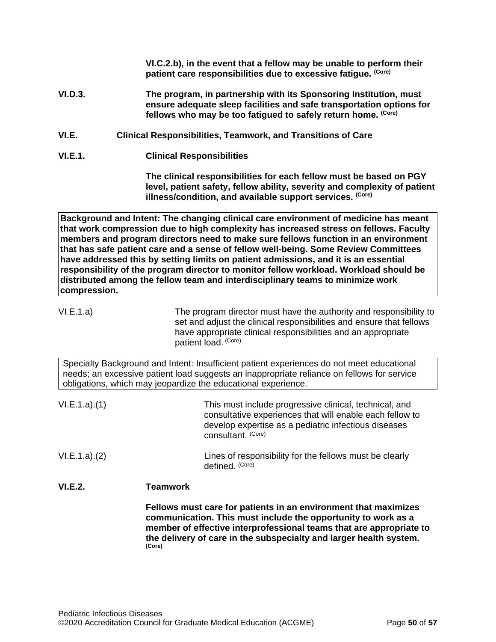**VI.C.2.b), in the event that a fellow may be unable to perform their patient care responsibilities due to excessive fatigue. (Core)**

- **VI.D.3. The program, in partnership with its Sponsoring Institution, must ensure adequate sleep facilities and safe transportation options for fellows who may be too fatigued to safely return home. (Core)**
- <span id="page-49-0"></span>**VI.E. Clinical Responsibilities, Teamwork, and Transitions of Care**
- **VI.E.1. Clinical Responsibilities**

**The clinical responsibilities for each fellow must be based on PGY level, patient safety, fellow ability, severity and complexity of patient illness/condition, and available support services. (Core)**

**Background and Intent: The changing clinical care environment of medicine has meant that work compression due to high complexity has increased stress on fellows. Faculty members and program directors need to make sure fellows function in an environment that has safe patient care and a sense of fellow well-being. Some Review Committees have addressed this by setting limits on patient admissions, and it is an essential responsibility of the program director to monitor fellow workload. Workload should be distributed among the fellow team and interdisciplinary teams to minimize work compression.**

VI.E.1.a) The program director must have the authority and responsibility to set and adjust the clinical responsibilities and ensure that fellows have appropriate clinical responsibilities and an appropriate patient load. (Core)

Specialty Background and Intent: Insufficient patient experiences do not meet educational needs; an excessive patient load suggests an inappropriate reliance on fellows for service obligations, which may jeopardize the educational experience.

| VI.E.1.a)(1) | This must include progressive clinical, technical, and<br>consultative experiences that will enable each fellow to<br>develop expertise as a pediatric infectious diseases |
|--------------|----------------------------------------------------------------------------------------------------------------------------------------------------------------------------|
|              | consultant. <sup>(Core)</sup>                                                                                                                                              |

VI.E.1.a).(2) Lines of responsibility for the fellows must be clearly defined. (Core)

## **VI.E.2. Teamwork**

**Fellows must care for patients in an environment that maximizes communication. This must include the opportunity to work as a member of effective interprofessional teams that are appropriate to the delivery of care in the subspecialty and larger health system. (Core)**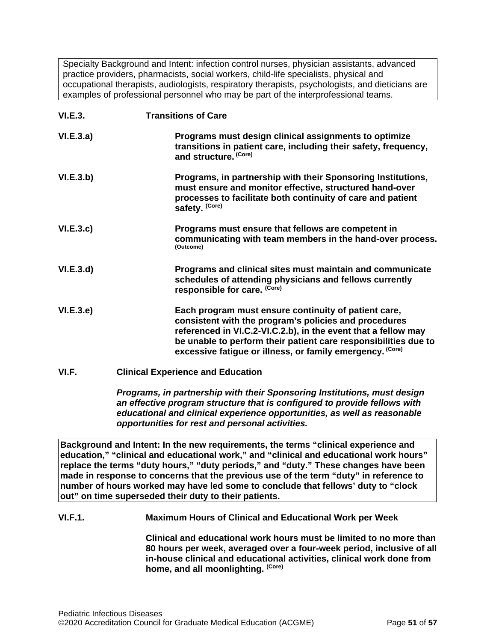Specialty Background and Intent: infection control nurses, physician assistants, advanced practice providers, pharmacists, social workers, child-life specialists, physical and occupational therapists, audiologists, respiratory therapists, psychologists, and dieticians are examples of professional personnel who may be part of the interprofessional teams.

| <b>VI.E.3.</b> | <b>Transitions of Care</b>                                                                                                                                                                                                                                                                                      |
|----------------|-----------------------------------------------------------------------------------------------------------------------------------------------------------------------------------------------------------------------------------------------------------------------------------------------------------------|
| VI.E.3.a)      | Programs must design clinical assignments to optimize<br>transitions in patient care, including their safety, frequency,<br>and structure. (Core)                                                                                                                                                               |
| VI.E.3.b)      | Programs, in partnership with their Sponsoring Institutions,<br>must ensure and monitor effective, structured hand-over<br>processes to facilitate both continuity of care and patient<br>safety. (Core)                                                                                                        |
| VI.E.3.c.      | Programs must ensure that fellows are competent in<br>communicating with team members in the hand-over process.<br>(Outcome)                                                                                                                                                                                    |
| VI.E.3.d)      | Programs and clinical sites must maintain and communicate<br>schedules of attending physicians and fellows currently<br>responsible for care. (Core)                                                                                                                                                            |
| VI.E.3.e)      | Each program must ensure continuity of patient care,<br>consistent with the program's policies and procedures<br>referenced in VI.C.2-VI.C.2.b), in the event that a fellow may<br>be unable to perform their patient care responsibilities due to<br>excessive fatigue or illness, or family emergency. (Core) |
| VI.F.          | <b>Clinical Experience and Education</b>                                                                                                                                                                                                                                                                        |

<span id="page-50-0"></span>*Programs, in partnership with their Sponsoring Institutions, must design an effective program structure that is configured to provide fellows with educational and clinical experience opportunities, as well as reasonable opportunities for rest and personal activities.*

**Background and Intent: In the new requirements, the terms "clinical experience and education," "clinical and educational work," and "clinical and educational work hours" replace the terms "duty hours," "duty periods," and "duty." These changes have been made in response to concerns that the previous use of the term "duty" in reference to number of hours worked may have led some to conclude that fellows' duty to "clock out" on time superseded their duty to their patients.**

## **VI.F.1. Maximum Hours of Clinical and Educational Work per Week**

**Clinical and educational work hours must be limited to no more than 80 hours per week, averaged over a four-week period, inclusive of all in-house clinical and educational activities, clinical work done from home, and all moonlighting. (Core)**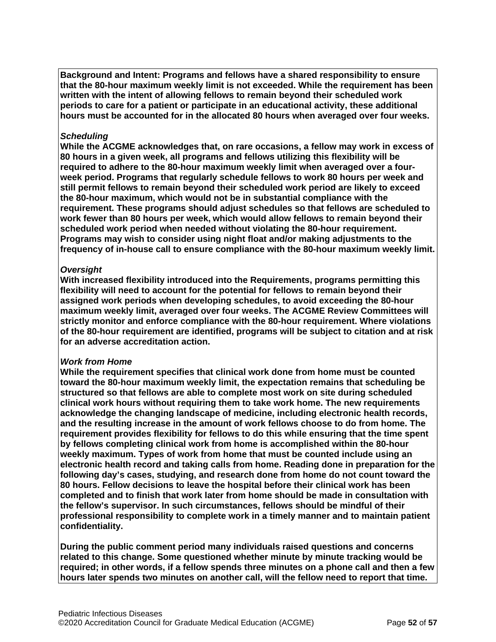**Background and Intent: Programs and fellows have a shared responsibility to ensure that the 80-hour maximum weekly limit is not exceeded. While the requirement has been written with the intent of allowing fellows to remain beyond their scheduled work periods to care for a patient or participate in an educational activity, these additional hours must be accounted for in the allocated 80 hours when averaged over four weeks.**

### *Scheduling*

**While the ACGME acknowledges that, on rare occasions, a fellow may work in excess of 80 hours in a given week, all programs and fellows utilizing this flexibility will be required to adhere to the 80-hour maximum weekly limit when averaged over a fourweek period. Programs that regularly schedule fellows to work 80 hours per week and still permit fellows to remain beyond their scheduled work period are likely to exceed the 80-hour maximum, which would not be in substantial compliance with the requirement. These programs should adjust schedules so that fellows are scheduled to work fewer than 80 hours per week, which would allow fellows to remain beyond their scheduled work period when needed without violating the 80-hour requirement. Programs may wish to consider using night float and/or making adjustments to the frequency of in-house call to ensure compliance with the 80-hour maximum weekly limit.**

### *Oversight*

**With increased flexibility introduced into the Requirements, programs permitting this flexibility will need to account for the potential for fellows to remain beyond their assigned work periods when developing schedules, to avoid exceeding the 80-hour maximum weekly limit, averaged over four weeks. The ACGME Review Committees will strictly monitor and enforce compliance with the 80-hour requirement. Where violations of the 80-hour requirement are identified, programs will be subject to citation and at risk for an adverse accreditation action.**

## *Work from Home*

**While the requirement specifies that clinical work done from home must be counted toward the 80-hour maximum weekly limit, the expectation remains that scheduling be structured so that fellows are able to complete most work on site during scheduled clinical work hours without requiring them to take work home. The new requirements acknowledge the changing landscape of medicine, including electronic health records, and the resulting increase in the amount of work fellows choose to do from home. The requirement provides flexibility for fellows to do this while ensuring that the time spent by fellows completing clinical work from home is accomplished within the 80-hour weekly maximum. Types of work from home that must be counted include using an electronic health record and taking calls from home. Reading done in preparation for the following day's cases, studying, and research done from home do not count toward the 80 hours. Fellow decisions to leave the hospital before their clinical work has been completed and to finish that work later from home should be made in consultation with the fellow's supervisor. In such circumstances, fellows should be mindful of their professional responsibility to complete work in a timely manner and to maintain patient confidentiality.**

**During the public comment period many individuals raised questions and concerns related to this change. Some questioned whether minute by minute tracking would be required; in other words, if a fellow spends three minutes on a phone call and then a few hours later spends two minutes on another call, will the fellow need to report that time.**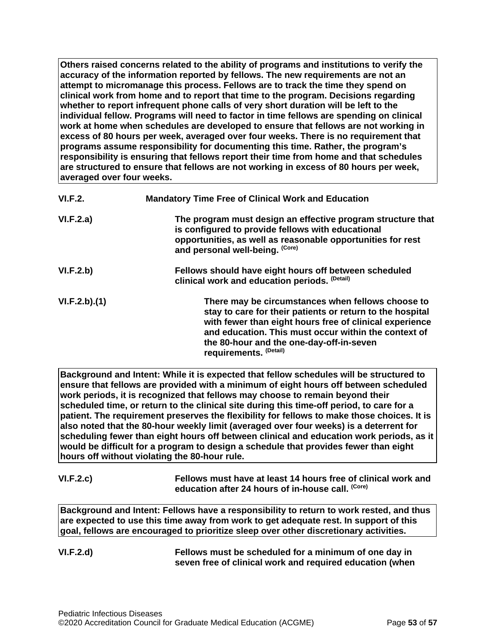**Others raised concerns related to the ability of programs and institutions to verify the accuracy of the information reported by fellows. The new requirements are not an attempt to micromanage this process. Fellows are to track the time they spend on clinical work from home and to report that time to the program. Decisions regarding whether to report infrequent phone calls of very short duration will be left to the individual fellow. Programs will need to factor in time fellows are spending on clinical work at home when schedules are developed to ensure that fellows are not working in excess of 80 hours per week, averaged over four weeks. There is no requirement that programs assume responsibility for documenting this time. Rather, the program's responsibility is ensuring that fellows report their time from home and that schedules are structured to ensure that fellows are not working in excess of 80 hours per week, averaged over four weeks.**

| VI.F.2.      | <b>Mandatory Time Free of Clinical Work and Education</b>                                                                                                                                                                                                                                               |
|--------------|---------------------------------------------------------------------------------------------------------------------------------------------------------------------------------------------------------------------------------------------------------------------------------------------------------|
| VI.F.2.a)    | The program must design an effective program structure that<br>is configured to provide fellows with educational<br>opportunities, as well as reasonable opportunities for rest<br>and personal well-being. (Core)                                                                                      |
| VI.F.2.b)    | Fellows should have eight hours off between scheduled<br>clinical work and education periods. (Detail)                                                                                                                                                                                                  |
| VI.F.2.b)(1) | There may be circumstances when fellows choose to<br>stay to care for their patients or return to the hospital<br>with fewer than eight hours free of clinical experience<br>and education. This must occur within the context of<br>the 80-hour and the one-day-off-in-seven<br>requirements. (Detail) |

**Background and Intent: While it is expected that fellow schedules will be structured to ensure that fellows are provided with a minimum of eight hours off between scheduled work periods, it is recognized that fellows may choose to remain beyond their scheduled time, or return to the clinical site during this time-off period, to care for a patient. The requirement preserves the flexibility for fellows to make those choices. It is also noted that the 80-hour weekly limit (averaged over four weeks) is a deterrent for scheduling fewer than eight hours off between clinical and education work periods, as it would be difficult for a program to design a schedule that provides fewer than eight hours off without violating the 80-hour rule.**

# **VI.F.2.c) Fellows must have at least 14 hours free of clinical work and education after 24 hours of in-house call. (Core)**

**Background and Intent: Fellows have a responsibility to return to work rested, and thus are expected to use this time away from work to get adequate rest. In support of this goal, fellows are encouraged to prioritize sleep over other discretionary activities.**

| <b>VI.F.2.d)</b> | Fellows must be scheduled for a minimum of one day in    |
|------------------|----------------------------------------------------------|
|                  | seven free of clinical work and required education (when |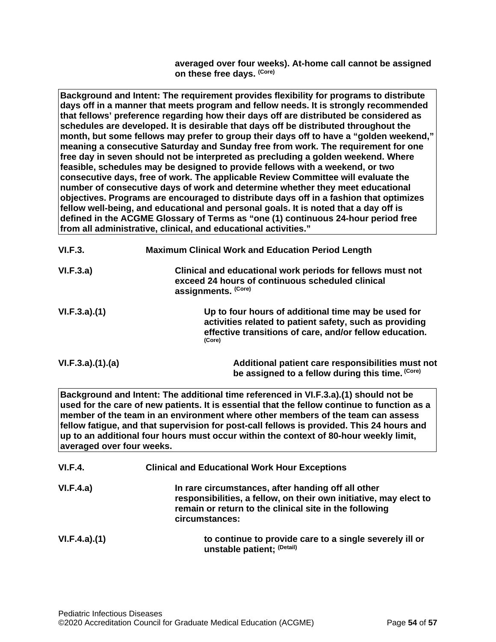**averaged over four weeks). At-home call cannot be assigned on these free days. (Core)**

**Background and Intent: The requirement provides flexibility for programs to distribute days off in a manner that meets program and fellow needs. It is strongly recommended that fellows' preference regarding how their days off are distributed be considered as schedules are developed. It is desirable that days off be distributed throughout the month, but some fellows may prefer to group their days off to have a "golden weekend," meaning a consecutive Saturday and Sunday free from work. The requirement for one free day in seven should not be interpreted as precluding a golden weekend. Where feasible, schedules may be designed to provide fellows with a weekend, or two consecutive days, free of work. The applicable Review Committee will evaluate the number of consecutive days of work and determine whether they meet educational objectives. Programs are encouraged to distribute days off in a fashion that optimizes fellow well-being, and educational and personal goals. It is noted that a day off is defined in the ACGME Glossary of Terms as "one (1) continuous 24-hour period free from all administrative, clinical, and educational activities."**

| VI.F.3.         | <b>Maximum Clinical Work and Education Period Length</b>                                                                                                                            |  |
|-----------------|-------------------------------------------------------------------------------------------------------------------------------------------------------------------------------------|--|
| VI.F.3.a)       | Clinical and educational work periods for fellows must not<br>exceed 24 hours of continuous scheduled clinical<br>assignments. (Core)                                               |  |
| VI.F.3.a)(1)    | Up to four hours of additional time may be used for<br>activities related to patient safety, such as providing<br>effective transitions of care, and/or fellow education.<br>(Core) |  |
| VI.F.3.a)(1)(a) | Additional patient care responsibilities must not<br>be assigned to a fellow during this time. (Core)                                                                               |  |

**Background and Intent: The additional time referenced in VI.F.3.a).(1) should not be used for the care of new patients. It is essential that the fellow continue to function as a member of the team in an environment where other members of the team can assess fellow fatigue, and that supervision for post-call fellows is provided. This 24 hours and up to an additional four hours must occur within the context of 80-hour weekly limit, averaged over four weeks.**

| VI.F.4.      | <b>Clinical and Educational Work Hour Exceptions</b>                                                                                                                                                |
|--------------|-----------------------------------------------------------------------------------------------------------------------------------------------------------------------------------------------------|
| VI.F.4.a)    | In rare circumstances, after handing off all other<br>responsibilities, a fellow, on their own initiative, may elect to<br>remain or return to the clinical site in the following<br>circumstances: |
| VI.F.4.a)(1) | to continue to provide care to a single severely ill or<br>unstable patient; (Detail)                                                                                                               |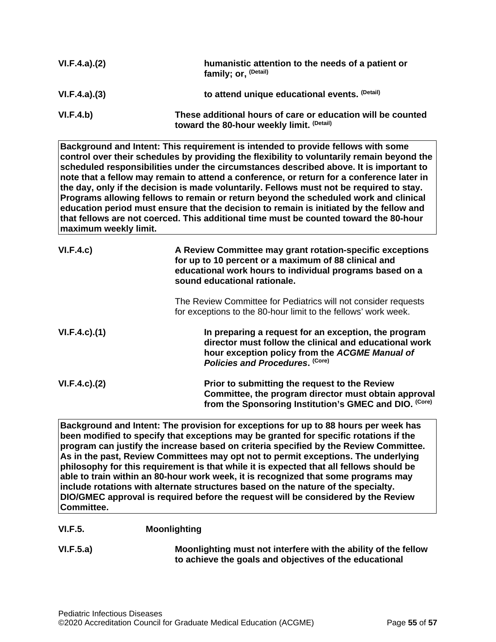| VI.F.4.a)(2) | humanistic attention to the needs of a patient or<br>family; or, <sup>(Detail)</sup>                     |
|--------------|----------------------------------------------------------------------------------------------------------|
| VI.F.4.a)(3) | to attend unique educational events. (Detail)                                                            |
| VI.F.4.b)    | These additional hours of care or education will be counted<br>toward the 80-hour weekly limit. (Detail) |

**Background and Intent: This requirement is intended to provide fellows with some control over their schedules by providing the flexibility to voluntarily remain beyond the scheduled responsibilities under the circumstances described above. It is important to note that a fellow may remain to attend a conference, or return for a conference later in the day, only if the decision is made voluntarily. Fellows must not be required to stay. Programs allowing fellows to remain or return beyond the scheduled work and clinical education period must ensure that the decision to remain is initiated by the fellow and that fellows are not coerced. This additional time must be counted toward the 80-hour maximum weekly limit.**

| VI.F.4.c)           | A Review Committee may grant rotation-specific exceptions<br>for up to 10 percent or a maximum of 88 clinical and<br>educational work hours to individual programs based on a<br>sound educational rationale. |
|---------------------|---------------------------------------------------------------------------------------------------------------------------------------------------------------------------------------------------------------|
|                     | The Review Committee for Pediatrics will not consider requests<br>for exceptions to the 80-hour limit to the fellows' work week.                                                                              |
| $VI.F.4.c$ . $(1)$  | In preparing a request for an exception, the program<br>director must follow the clinical and educational work<br>hour exception policy from the ACGME Manual of<br>Policies and Procedures. (Core)           |
| $VI.F.4.c$ ). $(2)$ | Prior to submitting the request to the Review<br>Committee, the program director must obtain approval<br>from the Sponsoring Institution's GMEC and DIO. (Core)                                               |

**Background and Intent: The provision for exceptions for up to 88 hours per week has been modified to specify that exceptions may be granted for specific rotations if the program can justify the increase based on criteria specified by the Review Committee. As in the past, Review Committees may opt not to permit exceptions. The underlying philosophy for this requirement is that while it is expected that all fellows should be able to train within an 80-hour work week, it is recognized that some programs may include rotations with alternate structures based on the nature of the specialty. DIO/GMEC approval is required before the request will be considered by the Review Committee.**

## **VI.F.5. Moonlighting**

**VI.F.5.a) Moonlighting must not interfere with the ability of the fellow to achieve the goals and objectives of the educational**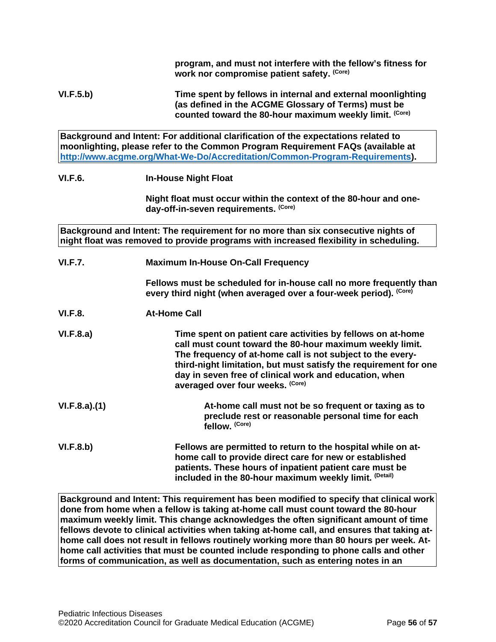**program, and must not interfere with the fellow's fitness for work nor compromise patient safety. (Core)**

**VI.F.5.b) Time spent by fellows in internal and external moonlighting (as defined in the ACGME Glossary of Terms) must be counted toward the 80-hour maximum weekly limit. (Core)**

**Background and Intent: For additional clarification of the expectations related to moonlighting, please refer to the Common Program Requirement FAQs (available at [http://www.acgme.org/What-We-Do/Accreditation/Common-Program-Requirements\)](http://www.acgme.org/What-We-Do/Accreditation/Common-Program-Requirements).**

### **VI.F.6. In-House Night Float**

**Night float must occur within the context of the 80-hour and oneday-off-in-seven requirements. (Core)**

**Background and Intent: The requirement for no more than six consecutive nights of night float was removed to provide programs with increased flexibility in scheduling.**

| <b>VI.F.7.</b> | <b>Maximum In-House On-Call Frequency</b> |
|----------------|-------------------------------------------|
|----------------|-------------------------------------------|

**Fellows must be scheduled for in-house call no more frequently than every third night (when averaged over a four-week period). (Core)**

**VI.F.8. At-Home Call**

**VI.F.8.a) Time spent on patient care activities by fellows on at-home call must count toward the 80-hour maximum weekly limit. The frequency of at-home call is not subject to the everythird-night limitation, but must satisfy the requirement for one day in seven free of clinical work and education, when averaged over four weeks. (Core)**

**VI.F.8.a).(1) At-home call must not be so frequent or taxing as to preclude rest or reasonable personal time for each fellow. (Core)**

**VI.F.8.b) Fellows are permitted to return to the hospital while on athome call to provide direct care for new or established patients. These hours of inpatient patient care must be included in the 80-hour maximum weekly limit. (Detail)**

**Background and Intent: This requirement has been modified to specify that clinical work done from home when a fellow is taking at-home call must count toward the 80-hour maximum weekly limit. This change acknowledges the often significant amount of time fellows devote to clinical activities when taking at-home call, and ensures that taking athome call does not result in fellows routinely working more than 80 hours per week. Athome call activities that must be counted include responding to phone calls and other forms of communication, as well as documentation, such as entering notes in an**